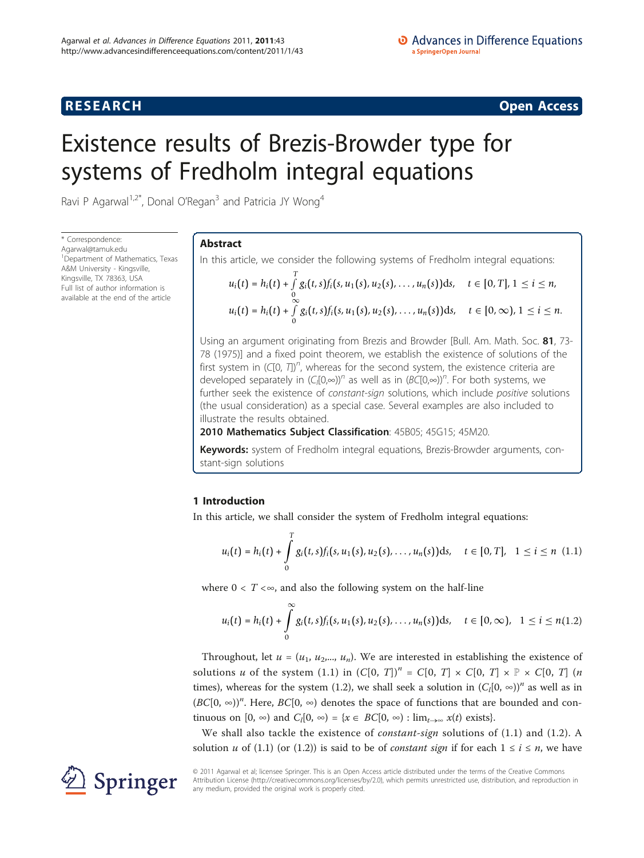# **RESEARCH CONSTRUCTION CONSTRUCTS**

# Existence results of Brezis-Browder type for systems of Fredholm integral equations

Ravi P Agarwal<sup>1,2\*</sup>, Donal O'Regan<sup>3</sup> and Patricia JY Wong<sup>4</sup>

\* Correspondence: [Agarwal@tamuk.edu](mailto:Agarwal@tamuk.edu) <sup>1</sup> Department of Mathematics, Texas A&M University - Kingsville, Kingsville, TX 78363, USA Full list of author information is available at the end of the article

# Abstract

In this article, we consider the following systems of Fredholm integral equations:

$$
u_i(t) = h_i(t) + \int_{0}^{T} g_i(t,s) f_i(s, u_1(s), u_2(s), \dots, u_n(s)) ds, \quad t \in [0, T], 1 \le i \le n,
$$
  

$$
u_i(t) = h_i(t) + \int_{0}^{\infty} g_i(t,s) f_i(s, u_1(s), u_2(s), \dots, u_n(s)) ds, \quad t \in [0, \infty), 1 \le i \le n.
$$

Using an argument originating from Brezis and Browder [Bull. Am. Math. Soc. 81, 73- 78 (1975)] and a fixed point theorem, we establish the existence of solutions of the first system in (C[0, T])<sup>n</sup>, whereas for the second system, the existence criteria are developed separately in  $(C_1[0,\infty))^n$  as well as in  $(BC[0,\infty))^n$ . For both systems, we further seek the existence of constant-sign solutions, which include positive solutions (the usual consideration) as a special case. Several examples are also included to illustrate the results obtained.

2010 Mathematics Subject Classification: 45B05; 45G15; 45M20.

Keywords: system of Fredholm integral equations, Brezis-Browder arguments, constant-sign solutions

# 1 Introduction

In this article, we shall consider the system of Fredholm integral equations:

$$
u_i(t) = h_i(t) + \int_0^T g_i(t,s) f_i(s, u_1(s), u_2(s), \dots, u_n(s)) ds, \quad t \in [0, T], \quad 1 \leq i \leq n \quad (1.1)
$$

where  $0 < T < \infty$ , and also the following system on the half-line

$$
u_i(t) = h_i(t) + \int_0^\infty g_i(t,s) f_i(s, u_1(s), u_2(s), \dots, u_n(s)) ds, \quad t \in [0, \infty), \quad 1 \leq i \leq n(1.2)
$$

Throughout, let  $u = (u_1, u_2, ..., u_n)$ . We are interested in establishing the existence of solutions u of the system (1.1) in  $(C[0, T])^n = C[0, T] \times C[0, T] \times F \times C[0, T]$  (*n* times), whereas for the system (1.2), we shall seek a solution in  $(C_l[0, \infty))^n$  as well as in  $(BC[0, \infty))^n$ . Here,  $BC[0, \infty)$  denotes the space of functions that are bounded and continuous on  $[0, \infty)$  and  $C_l[0, \infty) = \{x \in BC[0, \infty) : \lim_{t \to \infty} x(t) \text{ exists}\}.$ 

We shall also tackle the existence of *constant-sign* solutions of  $(1.1)$  and  $(1.2)$ . A solution u of (1.1) (or (1.2)) is said to be of *constant sign* if for each  $1 \le i \le n$ , we have



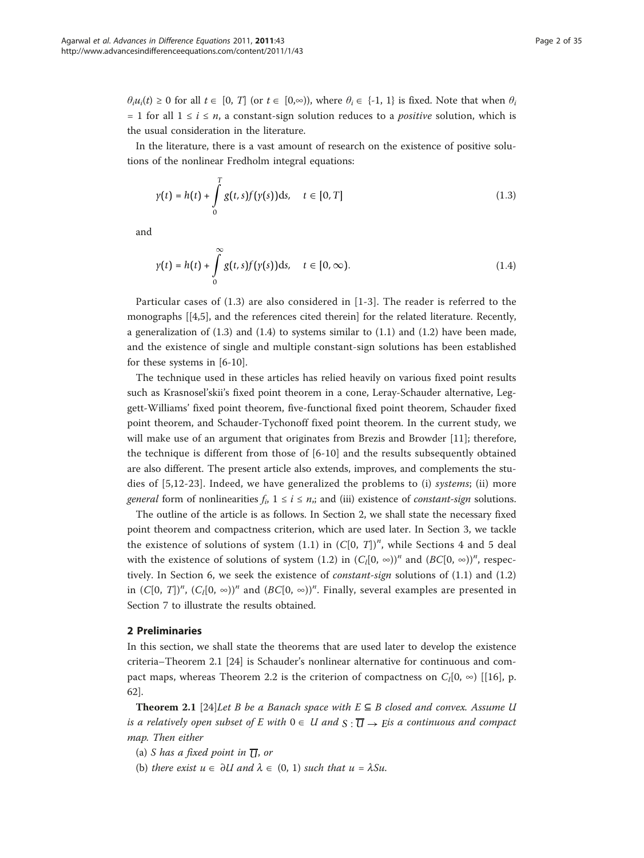$\theta_i u_i(t) \geq 0$  for all  $t \in [0, T]$  (or  $t \in [0, \infty)$ ), where  $\theta_i \in \{-1, 1\}$  is fixed. Note that when  $\theta_i$ = 1 for all  $1 \le i \le n$ , a constant-sign solution reduces to a *positive* solution, which is the usual consideration in the literature.

In the literature, there is a vast amount of research on the existence of positive solutions of the nonlinear Fredholm integral equations:

$$
\gamma(t) = h(t) + \int_{0}^{T} g(t, s) f(\gamma(s)) \, \mathrm{d}s, \quad t \in [0, T] \tag{1.3}
$$

and

$$
\gamma(t) = h(t) + \int_{0}^{\infty} g(t,s)f(\gamma(s))\mathrm{d}s, \quad t \in [0,\infty).
$$
\n(1.4)

Particular cases of (1.3) are also considered in [\[1](#page-33-0)-[3](#page-33-0)]. The reader is referred to the monographs [[\[4,5\]](#page-33-0), and the references cited therein] for the related literature. Recently, a generalization of  $(1.3)$  and  $(1.4)$  to systems similar to  $(1.1)$  and  $(1.2)$  have been made, and the existence of single and multiple constant-sign solutions has been established for these systems in [[6-10\]](#page-33-0).

The technique used in these articles has relied heavily on various fixed point results such as Krasnosel'skii's fixed point theorem in a cone, Leray-Schauder alternative, Leggett-Williams' fixed point theorem, five-functional fixed point theorem, Schauder fixed point theorem, and Schauder-Tychonoff fixed point theorem. In the current study, we will make use of an argument that originates from Brezis and Browder [[11](#page-33-0)]; therefore, the technique is different from those of [\[6](#page-33-0)-[10\]](#page-33-0) and the results subsequently obtained are also different. The present article also extends, improves, and complements the studies of [[5,12-](#page-33-0)[23\]](#page-34-0). Indeed, we have generalized the problems to (i) systems; (ii) more general form of nonlinearities  $f_i$ ,  $1 \le i \le n$ ,; and (iii) existence of *constant-sign* solutions.

The outline of the article is as follows. In Section 2, we shall state the necessary fixed point theorem and compactness criterion, which are used later. In Section 3, we tackle the existence of solutions of system  $(1.1)$  in  $(C[0, T])^n$ , while Sections 4 and 5 deal with the existence of solutions of system (1.2) in  $(C_l[0, \infty))^n$  and  $(BC[0, \infty))^n$ , respectively. In Section 6, we seek the existence of constant-sign solutions of (1.1) and (1.2) in  $(C[0, T])^n$ ,  $(C_l[0, \infty))^n$  and  $(BC[0, \infty))^n$ . Finally, several examples are presented in Section 7 to illustrate the results obtained.

### 2 Preliminaries

In this section, we shall state the theorems that are used later to develop the existence criteria–Theorem 2.1 [\[24\]](#page-34-0) is Schauder's nonlinear alternative for continuous and compact maps, whereas Theorem 2.2 is the criterion of compactness on  $C_l[0, \infty)$  [[\[16](#page-33-0)], p. 62].

**Theorem 2.1** [[24\]](#page-34-0)Let B be a Banach space with  $E \subseteq B$  closed and convex. Assume U is a relatively open subset of E with  $0 \in U$  and  $S : \overline{U} \rightarrow E$  *E* a continuous and compact map. Then either

- (a) *S* has a fixed point in  $\overline{U}$ , or
- (b) there exist  $u \in \partial U$  and  $\lambda \in (0, 1)$  such that  $u = \lambda S u$ .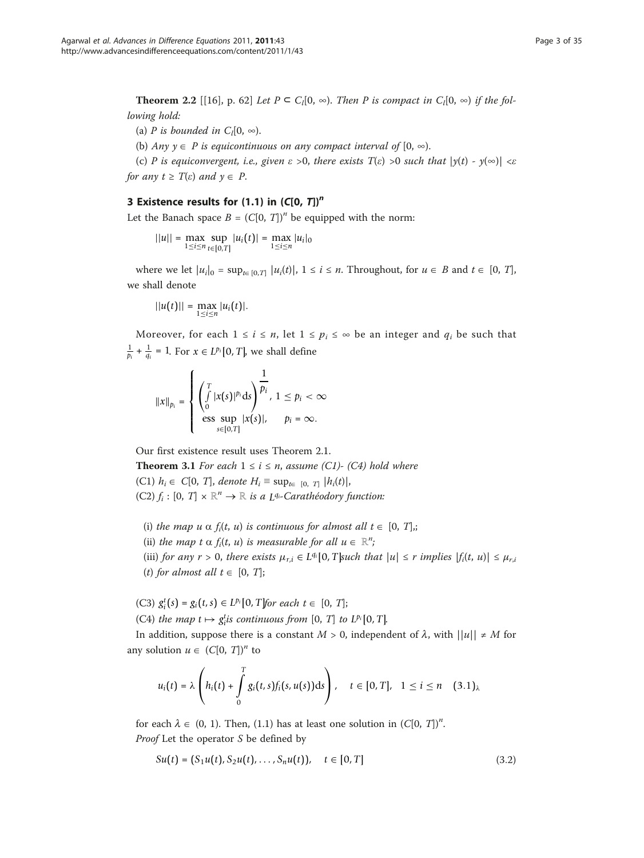**Theorem 2.2** [[[16](#page-33-0)], p. 62] Let  $P \subseteq C_1[0, \infty)$ . Then P is compact in  $C_1[0, \infty)$  if the following hold:

(a) P is bounded in  $C_l[0, \infty)$ .

(b) Any  $y \in P$  is equicontinuous on any compact interval of  $[0, \infty)$ .

(c) P is equiconvergent, i.e., given  $\varepsilon > 0$ , there exists  $T(\varepsilon) > 0$  such that  $|y(t) - y(\infty)| < \varepsilon$ for any  $t \geq T(\varepsilon)$  and  $y \in P$ .

# 3 Existence results for (1.1) in  $(C[0, T])^n$

Let the Banach space  $B = (C[0, T])^n$  be equipped with the norm:

 $||u|| = \max_{1 \le i \le n} \sup_{t \in [0,T]} |u_i(t)| = \max_{1 \le i \le n} |u_i|_0$ 

where we let  $|u_i|_0 = \sup_{t \in [0,T]} |u_i(t)|$ ,  $1 \le i \le n$ . Throughout, for  $u \in B$  and  $t \in [0, T]$ , we shall denote

$$
||u(t)|| = \max_{1 \leq i \leq n} |u_i(t)|.
$$

Moreover, for each  $1 \le i \le n$ , let  $1 \le p_i \le \infty$  be an integer and  $q_i$  be such that  $\frac{1}{p_i} + \frac{1}{q_i} = 1$ . For  $x \in L^{p_i}[0, T]$ , we shall define

$$
||x||_{p_i} = \begin{cases} \left(\int\limits_0^T |x(s)|^{p_i} ds\right)^{\frac{1}{p_i}}, & 1 \leq p_i < \infty\\ \text{ess} \sup\limits_{s \in [0,T]} |x(s)|, & p_i = \infty. \end{cases}
$$

Our first existence result uses Theorem 2.1.

**Theorem 3.1** For each  $1 \le i \le n$ , assume (C1)- (C4) hold where

(C1)  $h_i \in C[0, T]$ , denote  $H_i \equiv \sup_{t \in [0, T]} |h_i(t)|$ ,

- (C2)  $f_i : [0, T] \times \mathbb{R}^n \to \mathbb{R}$  is a *L*<sup>q<sub>i</sub>-Carathéodory function:</sup>
- (i) the map  $u \propto f_i(t, u)$  is continuous for almost all  $t \in [0, T]$ ,;
- (ii) the map t  $\alpha$  f<sub>i</sub>(t, u) is measurable for all  $u \in \mathbb{R}^n$ ;<br>(iii)  $\zeta$

(iii) for any  $r > 0$ , there exists  $\mu_{r,i} \in L^{q_i} [0, T]$  such that  $|u| \leq r$  implies  $|f_i(t, u)| \leq \mu_{r,i}$ (t) for almost all  $t \in [0, T]$ ;

(C3)  $g_i^t(s) = g_i(t, s) \in L^{p_i}[0, T]$  *for each*  $t \in [0, T]$ ;

(C4) the map  $t \mapsto g_i^t$  *is continuous from* [0, *T*] to  $L^{p_i}[0, T]$ .

In addition, suppose there is a constant  $M > 0$ , independent of  $\lambda$ , with  $||u|| \neq M$  for any solution  $u \in (C[0, T])^n$  to

$$
u_i(t) = \lambda \left( h_i(t) + \int_0^T g_i(t,s) f_i(s,u(s)) \, ds \right), \quad t \in [0,T], \quad 1 \leq i \leq n \quad (3.1)_\lambda
$$

for each  $\lambda \in (0, 1)$ . Then, (1.1) has at least one solution in  $(C[0, T])^n$ . Proof Let the operator S be defined by

$$
Su(t) = (S_1u(t), S_2u(t), \dots, S_nu(t)), \quad t \in [0, T]
$$
\n(3.2)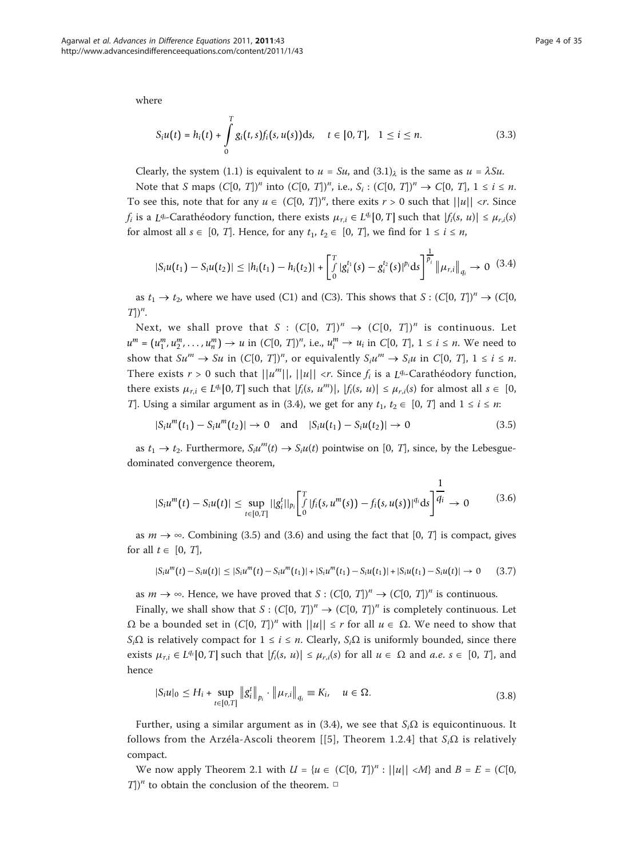where

$$
S_i u(t) = h_i(t) + \int_0^T g_i(t, s) f_i(s, u(s)) \, ds, \quad t \in [0, T], \quad 1 \le i \le n. \tag{3.3}
$$

Clearly, the system (1.1) is equivalent to  $u = Su$ , and  $(3.1)<sub>\lambda</sub>$  is the same as  $u = \lambda Su$ .

Note that S maps  $(C[0, T])^n$  into  $(C[0, T])^n$ , i.e.,  $S_i : (C[0, T])^n \to C[0, T]$ ,  $1 \le i \le n$ . To see this, note that for any  $u \in (C[0, T])^n$ , there exits  $r > 0$  such that  $||u|| < r$ . Since  $f_i$  is a *L*<sup>q<sub>i</sub>-Carathéodory function, there exists  $\mu_{r,i} \in L^{q_i}[0,T]$  such that  $|f_i(s, u)| \leq \mu_{r,i}(s)$ </sup> for almost all  $s \in [0, T]$ . Hence, for any  $t_1, t_2 \in [0, T]$ , we find for  $1 \le i \le n$ ,

$$
|S_i u(t_1) - S_i u(t_2)| \leq |h_i(t_1) - h_i(t_2)| + \left[\int_0^T |g_i^{t_1}(s) - g_i^{t_2}(s)|^{p_i} ds\right]^{\frac{1}{p_i}} \|\mu_{r,i}\|_{q_i} \to 0 \quad (3.4)
$$

as  $t_1 \rightarrow t_2$ , where we have used (C1) and (C3). This shows that  $S : (C[0, T])^n \rightarrow (C[0, T])$  $T$ ])<sup>*n*</sup>.

Next, we shall prove that  $S : (C[0, T])^n \rightarrow (C[0, T])^n$  is continuous. Let  $u^m = (u_1^m, u_2^m, \dots, u_n^m) \to u$  in  $(C[0, T])^n$ , i.e.,  $u_i^m \to u_i$  in  $C[0, T]$ ,  $1 \le i \le n$ . We need to show that  $Su^m \to Su$  in  $(C[0, T])^n$ , or equivalently  $S_i u^m \to S_i u$  in  $C[0, T]$ ,  $1 \le i \le n$ .<br>These resists as a function of that the fluid surface of in a 14 Courth (above function There exists  $r > 0$  such that  $||u^m||$ ,  $||u|| < r$ . Since  $f_i$  is a  $L^{q_i}$ -Carathéodory function, there exists  $\mu_{r,i} \in L^{q_i} [0, T]$  such that  $|f_i(s, u^m)|$ ,  $|f_i(s, u)| \leq \mu_{r,i}(s)$  for almost all  $s \in [0, T]$ . T]. Using a similar argument as in (3.4), we get for any  $t_1, t_2 \in [0, T]$  and  $1 \le i \le n$ :

$$
|S_i u^m(t_1) - S_i u^m(t_2)| \to 0 \quad \text{and} \quad |S_i u(t_1) - S_i u(t_2)| \to 0 \tag{3.5}
$$

as  $t_1 \rightarrow t_2$ . Furthermore,  $S_i u^m(t) \rightarrow S_i u(t)$  pointwise on [0, T], since, by the Lebesguedominated convergence theorem,

$$
|S_i u^m(t) - S_i u(t)| \leq \sup_{t \in [0,T]} ||g_i^t||_{p_i} \left[ \int_0^T |f_i(s, u^m(s)) - f_i(s, u(s))|^{q_i} ds \right] \frac{1}{q_i} \to 0 \quad (3.6)
$$

as  $m \to \infty$ . Combining (3.5) and (3.6) and using the fact that [0, T] is compact, gives for all  $t \in [0, T]$ ,

 $|S_i u^m(t) - S_i u(t)| \le |S_i u^m(t) - S_i u^m(t_1)| + |S_i u^m(t_1) - S_i u(t_1)| + |S_i u(t_1) - S_i u(t)|$  → 0 (3.7)

as  $m \to \infty$ . Hence, we have proved that  $S : (C[0, T])^n \to (C[0, T])^n$  is continuous.

Finally, we shall show that  $S : (C[0, T])^n \to (C[0, T])^n$  is completely continuous. Let  $Ω$  be a bounded set in  $(C[0, T])^n$  with  $||u|| \le r$  for all  $u \in Ω$ . We need to show that  $S_i\Omega$  is relatively compact for  $1 \le i \le n$ . Clearly,  $S_i\Omega$  is uniformly bounded, since there exists  $\mu_{r,i} \in L^{q_i}[0,T]$  such that  $|f_i(s, u)| \leq \mu_{r,i}(s)$  for all  $u \in \Omega$  and  $a.e.$   $s \in [0, T]$ , and hence

$$
|S_i u|_0 \le H_i + \sup_{t \in [0,T]} \|g_i^t\|_{p_i} \cdot \|\mu_{r,i}\|_{q_i} \equiv K_i, \quad u \in \Omega.
$$
 (3.8)

Further, using a similar argument as in (3.4), we see that  $S_i\Omega$  is equicontinuous. It follows from the Arzéla-Ascoli theorem [[[5\]](#page-33-0), Theorem 1.2.4] that  $S_i\Omega$  is relatively compact.

We now apply Theorem 2.1 with  $U = \{u \in (C[0, T])^n : ||u|| < M\}$  and  $B = E = (C[0, T])^n$ T])<sup>*n*</sup> to obtain the conclusion of the theorem.  $\Box$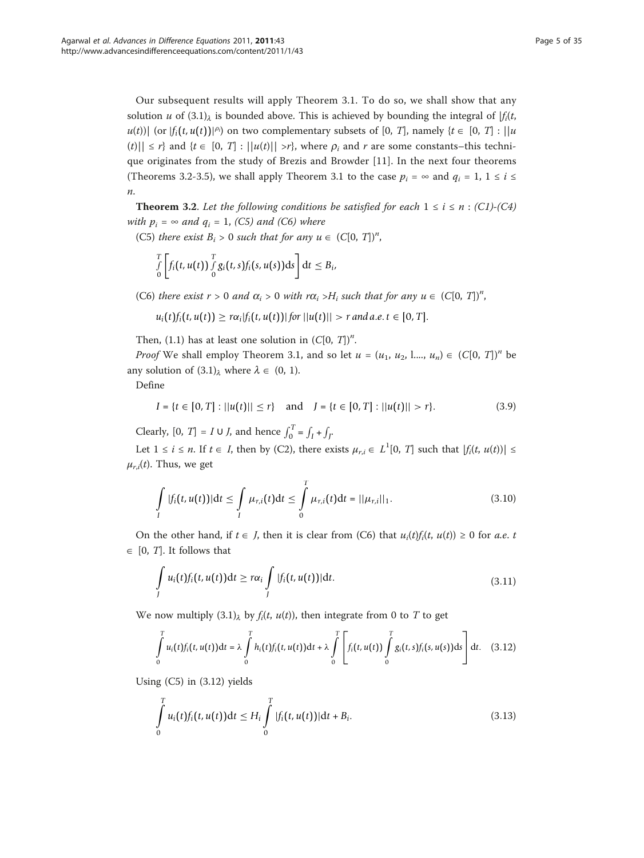Our subsequent results will apply Theorem 3.1. To do so, we shall show that any solution u of  $(3.1)$ <sub> $\lambda$ </sub> is bounded above. This is achieved by bounding the integral of  $|f_i(t,$  $u(t)$ )| (or  $|f_i(t, u(t))|^{p_i}$ ) on two complementary subsets of [0, T], namely  $\{t \in [0, T] : ||u(t)|| \leq c\}$  and  $(t \in [0, T] \cup [u(t)]] \cup [v(t) \cup [v(t)]]$  and  $v(t) \in [0, T]$  $|f(t)| \leq r$ } and  $\{t \in [0, T] : ||u(t)|| > r\}$ , where  $\rho_i$  and r are some constants–this technique originates from the study of Brezis and Browder [\[11](#page-33-0)]. In the next four theorems (Theorems 3.2-3.5), we shall apply Theorem 3.1 to the case  $p_i = \infty$  and  $q_i = 1, 1 \le i \le n$ n.

**Theorem 3.2.** Let the following conditions be satisfied for each  $1 \le i \le n$  : (C1)-(C4) with  $p_i = \infty$  and  $q_i = 1$ , (C5) and (C6) where

(C5) there exist  $B_i > 0$  such that for any  $u \in (C[0, T])^n$ ,

$$
\int\limits_0^T\left[f_i(t,u(t))\int\limits_0^T g_i(t,s)f_i(s,u(s))\mathrm{d} s\right]\mathrm{d} t\leq B_i,
$$

(C6) there exist  $r > 0$  and  $\alpha_i > 0$  with  $r\alpha_i > H_i$  such that for any  $u \in (C[0, T])^n$ ,

$$
u_i(t)f_i(t,u(t)) \geq r\alpha_i|f_i(t,u(t))| \text{ for } ||u(t)|| > r \text{ and a.e. } t \in [0,T].
$$

Then, (1.1) has at least one solution in  $(C[0, T])<sup>n</sup>$ .

*Proof* We shall employ Theorem 3.1, and so let  $u = (u_1, u_2, \ldots, u_n) \in (C[0, T])^n$  be any solution of  $(3.1)$ <sub> $\lambda$ </sub> where  $\lambda \in (0, 1)$ .

Define

$$
I = \{ t \in [0, T] : ||u(t)|| \le r \} \quad \text{and} \quad J = \{ t \in [0, T] : ||u(t)|| > r \}. \tag{3.9}
$$

Clearly,  $[0, T] = I \cup J$ , and hence  $\int_0^T = \int_I + \int_J$ .

Let  $1 \le i \le n$ . If  $t \in I$ , then by (C2), there exists  $\mu_{r,i} \in L^1[0, T]$  such that  $|f_i(t, u(t))| \le$  $\mu_{r,i}(t)$ . Thus, we get

$$
\int_{I} |f_i(t, u(t))| \, \mathrm{d}t \leq \int_{I} \mu_{r,i}(t) \, \mathrm{d}t \leq \int_{0}^{T} \mu_{r,i}(t) \, \mathrm{d}t = ||\mu_{r,i}||_1. \tag{3.10}
$$

On the other hand, if  $t \in J$ , then it is clear from (C6) that  $u_i(t) f_i(t, u(t)) \ge 0$  for a.e. t  $\in$  [0, *T*]. It follows that

$$
\int_{I} u_i(t) f_i(t, u(t)) dt \geq r \alpha_i \int_{I} |f_i(t, u(t))| dt.
$$
\n(3.11)

We now multiply  $(3.1)$ <sub> $\lambda$ </sub> by  $f_i(t, u(t))$ , then integrate from 0 to T to get

$$
\int_{0}^{T} u_i(t) f_i(t, u(t)) dt = \lambda \int_{0}^{T} h_i(t) f_i(t, u(t)) dt + \lambda \int_{0}^{T} \left[ f_i(t, u(t)) \int_{0}^{T} g_i(t, s) f_i(s, u(s)) ds \right] dt. \quad (3.12)
$$

Using (C5) in (3.12) yields

$$
\int_{0}^{T} u_{i}(t) f_{i}(t, u(t)) dt \leq H_{i} \int_{0}^{T} |f_{i}(t, u(t))| dt + B_{i}.
$$
\n(3.13)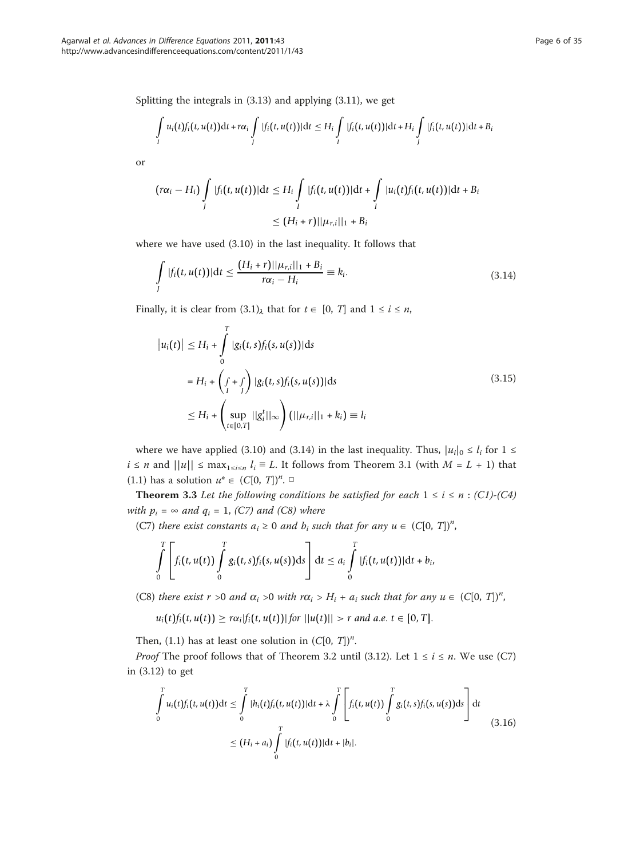Splitting the integrals in (3.13) and applying (3.11), we get

$$
\int_I u_i(t) f_i(t, u(t)) dt + r\alpha_i \int\limits_J |f_i(t, u(t))| dt \leq H_i \int\limits_I |f_i(t, u(t))| dt + H_i \int\limits_J |f_i(t, u(t))| dt + B_i
$$

or

$$
(r\alpha_i - H_i) \int\limits_J |f_i(t, u(t))| \, \mathrm{d}t \leq H_i \int\limits_I |f_i(t, u(t))| \, \mathrm{d}t + \int\limits_I |u_i(t)f_i(t, u(t))| \, \mathrm{d}t + B_i
$$
\n
$$
\leq (H_i + r) ||u_{r,i}||_1 + B_i
$$

where we have used (3.10) in the last inequality. It follows that

$$
\int_{I} |f_i(t, u(t))| dt \leq \frac{(H_i + r) ||\mu_{r,i}||_1 + B_i}{r\alpha_i - H_i} \equiv k_i.
$$
\n(3.14)

Finally, it is clear from  $(3.1)_{\lambda}$  that for  $t \in [0, T]$  and  $1 \le i \le n$ ,

$$
|u_i(t)| \le H_i + \int_0^T |g_i(t, s)f_i(s, u(s))| ds
$$
  
=  $H_i + \left(\int_1^t f(t, s)f_i(s, u(s))| ds$   
 $\le H_i + \left(\sup_{t \in [0, T]} ||g_i^t||_{\infty}\right) (||\mu_{r,i}||_1 + k_i) \equiv l_i$  (3.15)

where we have applied (3.10) and (3.14) in the last inequality. Thus,  $|u_i|_0 \le l_i$  for  $1 \le$  $i \leq n$  and  $||u|| \leq \max_{1 \leq i \leq n} l_i \equiv L$ . It follows from Theorem 3.1 (with  $M = L + 1$ ) that (1.1) has a solution  $u^* \in (C[0, T])^n$ .

**Theorem 3.3** Let the following conditions be satisfied for each  $1 \le i \le n$  : (C1)-(C4) with  $p_i = \infty$  and  $q_i = 1$ , (C7) and (C8) where

(C7) there exist constants  $a_i \ge 0$  and  $b_i$  such that for any  $u \in (C[0, T])^n$ ,

$$
\int\limits_{0}^{T}\left[f_i(t,u(t))\int\limits_{0}^{T}g_i(t,s)f_i(s,u(s))\mathrm{d} s\right]\mathrm{d} t\leq a_i\int\limits_{0}^{T}|f_i(t,u(t))|\mathrm{d} t+b_i,
$$

(C8) there exist  $r > 0$  and  $\alpha_i > 0$  with  $r\alpha_i > H_i + a_i$  such that for any  $u \in (C[0, T])^n$ ,

 $u_i(t) f_i(t, u(t)) \geq r \alpha_i |f_i(t, u(t))|$  *for*  $||u(t)|| > r$  *and a.e.*  $t \in [0, T]$ .

Then, (1.1) has at least one solution in  $(C[0, T])^n$ .

*Proof* The proof follows that of Theorem 3.2 until (3.12). Let  $1 \le i \le n$ . We use (C7) in (3.12) to get

$$
\int_{0}^{T} u_{i}(t) f_{i}(t, u(t)) dt \leq \int_{0}^{T} |h_{i}(t) f_{i}(t, u(t))| dt + \lambda \int_{0}^{T} \left[ f_{i}(t, u(t)) \int_{0}^{T} g_{i}(t, s) f_{i}(s, u(s)) ds \right] dt
$$
\n
$$
\leq (H_{i} + a_{i}) \int_{0}^{T} |f_{i}(t, u(t))| dt + |b_{i}|.
$$
\n(3.16)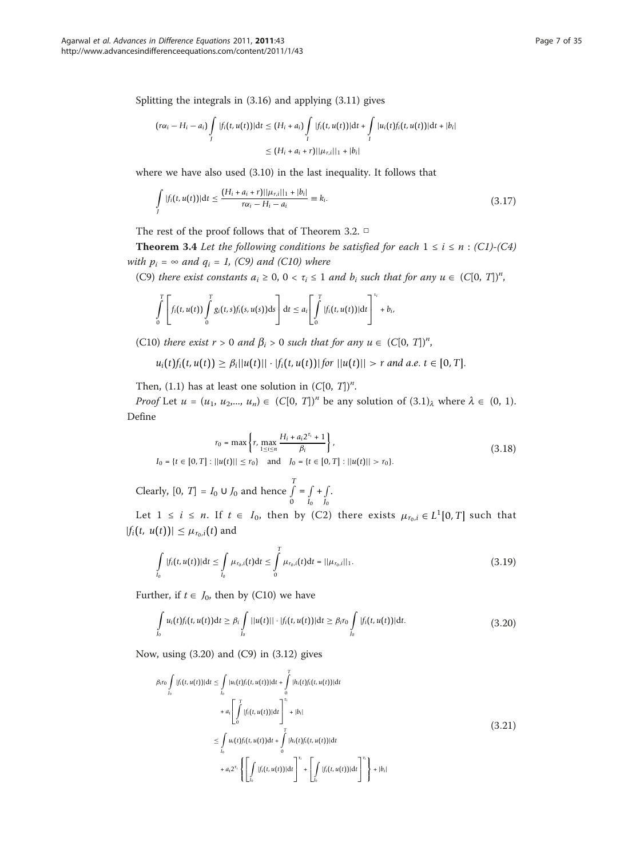Splitting the integrals in (3.16) and applying (3.11) gives

$$
(r\alpha_i - H_i - a_i) \int\limits_J |f_i(t, u(t))| \, dt \leq (H_i + a_i) \int\limits_I |f_i(t, u(t))| \, dt + \int\limits_I |u_i(t)f_i(t, u(t))| \, dt + |b_i|
$$
  
 
$$
\leq (H_i + a_i + r) ||\mu_{r,i}||_1 + |b_i|
$$

where we have also used (3.10) in the last inequality. It follows that

$$
\int_{I} |f_i(t, u(t))| dt \le \frac{(H_i + a_i + r) ||\mu_{r,i}||_1 + |b_i|}{r\alpha_i - H_i - a_i} \equiv k_i.
$$
\n(3.17)

The rest of the proof follows that of Theorem 3.2. □

**Theorem 3.4** Let the following conditions be satisfied for each  $1 \le i \le n$  : (C1)-(C4) with  $p_i = \infty$  and  $q_i = 1$ , (C9) and (C10) where

(C9) there exist constants  $a_i \geq 0$ ,  $0 < \tau_i \leq 1$  and  $b_i$  such that for any  $u \in (C[0, T])^n$ ,

$$
\int\limits_0^T\left[ f_i(t,u(t))\int\limits_0^T g_i(t,s)f_i(s,u(s))\mathrm{d} s\right]\mathrm{d} t\leq a_i\Bigg[\int\limits_0^T|f_i(t,u(t))|\mathrm{d} t\Bigg]^{t_i}+b_i,
$$

(C10) there exist  $r > 0$  and  $\beta_i > 0$  such that for any  $u \in (C[0, T])^n$ ,

 $u_i(t) f_i(t, u(t)) \geq \beta_i ||u(t)|| \cdot |f_i(t, u(t))|$  *for*  $||u(t)|| > r$  *and a.e.*  $t \in [0, T]$ .

Then, (1.1) has at least one solution in  $(C[0, T])^n$ .

*Proof* Let  $u = (u_1, u_2, ..., u_n) \in (C[0, T])^n$  be any solution of  $(3.1)_{\lambda}$  where  $\lambda \in (0, 1)$ . Define

$$
r_0 = \max\left\{r, \max_{1 \le i \le n} \frac{H_i + a_i 2^{\tau_i} + 1}{\beta_i}\right\},\
$$
  

$$
I_0 = \{t \in [0, T] : ||u(t)|| \le r_0\} \text{ and } J_0 = \{t \in [0, T] : ||u(t)|| > r_0\}.
$$
  
(3.18)

Clearly,  $[0, T] = I_0 ∪ J_0$  and hence  $\int_0^T$ 0  $=$   $\int$ *I*0  $+$   $\overline{)}$ *J*0 .

Let  $1 \le i \le n$ . If  $t \in I_0$ , then by (C2) there exists  $\mu_{r_0,i} \in L^1[0,T]$  such that  $|f_i(t, u(t))| \leq \mu_{r_0,i}(t)$  and

$$
\int_{I_0} |f_i(t, u(t))| \, \mathrm{d}t \leq \int_{I_0} \mu_{r_0, i}(t) \, \mathrm{d}t \leq \int_{0}^{T} \mu_{r_0, i}(t) \, \mathrm{d}t = ||\mu_{r_0, i}||_1. \tag{3.19}
$$

Further, if  $t \in J_0$ , then by (C10) we have

$$
\int_{I_0} u_i(t) f_i(t, u(t)) dt \geq \beta_i \int_{I_0} ||u(t)|| \cdot |f_i(t, u(t))| dt \geq \beta_i r_0 \int_{I_0} |f_i(t, u(t))| dt.
$$
\n(3.20)

Now, using (3.20) and (C9) in (3.12) gives

$$
\beta_{i}r_{0} \int_{I_{0}} |f_{i}(t, u(t))|dt \leq \int_{I_{0}} |u_{i}(t)f_{i}(t, u(t))|dt + \int_{0}^{T} |h_{i}(t)f_{i}(t, u(t))|dt \n+ a_{i} \left[ \int_{0}^{T} |f_{i}(t, u(t))|dt \right]^{T_{i}} + |b_{i}| \n\leq \int_{I_{0}} u_{i}(t)f_{i}(t, u(t))dt + \int_{0}^{T} |h_{i}(t)f_{i}(t, u(t))|dt \n+ a_{i} 2^{\tau_{i}} \left\{ \left[ \int_{I_{0}} |f_{i}(t, u(t))|dt \right]^{T_{i}} + \left[ \int_{I_{0}} |f_{i}(t, u(t))|dt \right]^{T_{i}} \right\} + |b_{i}|
$$
\n(3.21)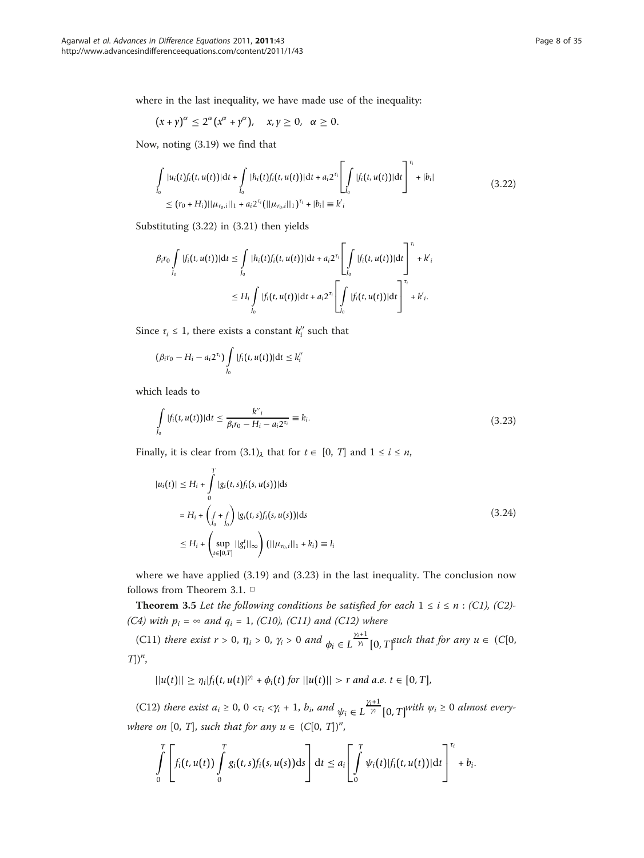where in the last inequality, we have made use of the inequality:

$$
(x + \gamma)^{\alpha} \le 2^{\alpha} (x^{\alpha} + \gamma^{\alpha}), \quad x, \gamma \ge 0, \ \alpha \ge 0.
$$

Now, noting (3.19) we find that

$$
\int_{I_0} |u_i(t)f_i(t, u(t))|dt + \int_{I_0} |h_i(t)f_i(t, u(t))|dt + a_i 2^{\tau_i} \left[ \int_{I_0} |f_i(t, u(t))|dt \right]^{\tau_i} + |b_i|
$$
\n
$$
\leq (r_0 + H_i) \left[ |u_{r_0,i}| \right]_{1} + a_i 2^{\tau_i} \left( \left[ |u_{r_0,i}| \right]_{1} \right)^{\tau_i} + |b_i| \leq k'_{i}
$$
\n(3.22)

Substituting (3.22) in (3.21) then yields

$$
\beta_{i}r_{0} \int_{I_{0}} |f_{i}(t, u(t))|dt \leq \int_{I_{0}} |h_{i}(t)f_{i}(t, u(t))|dt + a_{i}2^{\tau_{i}} \left[ \int_{I_{0}} |f_{i}(t, u(t))|dt \right]^{ \tau_{i}} + k'_{i}
$$
  
\n
$$
\leq H_{i} \int_{I_{0}} |f_{i}(t, u(t))|dt + a_{i}2^{\tau_{i}} \left[ \int_{I_{0}} |f_{i}(t, u(t))|dt \right]^{ \tau_{i}} + k'_{i}.
$$

Since  $\tau_i \leq 1$ , there exists a constant  $k_i^{\prime\prime}$  such that

$$
(\beta_i r_0 - H_i - a_i 2^{\tau_i}) \int\limits_{J_0} |f_i(t, u(t))| dt \leq k_i''
$$

which leads to

$$
\int_{I_0} |f_i(t, u(t))| \, \mathrm{d}t \le \frac{k''_i}{\beta_i r_0 - H_i - a_i 2^{r_i}} \equiv k_i. \tag{3.23}
$$

Finally, it is clear from  $(3.1)$ <sub> $\lambda$ </sub> that for  $t \in [0, T]$  and  $1 \le i \le n$ ,

$$
|u_i(t)| \le H_i + \int_0^T |g_i(t, s)f_i(s, u(s))| ds
$$
  
=  $H_i + \left(\int_{I_0} + \int_{J_0}\right) |g_i(t, s)f_i(s, u(s))| ds$  (3.24)  
 $\le H_i + \left(\sup_{t \in [0, T]} ||g_i^t||_{\infty}\right) (||\mu_{r_0, i}||_1 + k_i) \equiv l_i$ 

where we have applied (3.19) and (3.23) in the last inequality. The conclusion now follows from Theorem 3.1. □

**Theorem 3.5** Let the following conditions be satisfied for each  $1 \le i \le n$  : (C1), (C2)-(C4) with  $p_i = \infty$  and  $q_i = 1$ , (C10), (C11) and (C12) where

(C11) there exist  $r > 0$ ,  $\eta_i > 0$ ,  $\gamma_i > 0$  and  $\phi_i \in L^{\frac{\gamma_i+1}{\gamma_i}}$  $\frac{1}{\gamma_i}$  [0, *T*]<sup>such</sup> that for any  $u \in (C[0,$  $T$ ])<sup>*n*</sup>,

 $||u(t)|| \geq \eta_i |f_i(t, u(t)|^{\gamma_i} + \phi_i(t) \text{ for } ||u(t)|| > r \text{ and a.e. } t \in [0, T],$ 

(C12) there exist  $a_i \geq 0$ ,  $0 \lt \tau_i \lt \gamma_i + 1$ ,  $b_i$ , and  $\psi_i \in L^{\frac{\gamma_i+1}{\gamma_i}}$  $\frac{v^{i+1}}{\gamma_i}$  [0, *T*]<sup>*with*  $\psi_i \geq 0$  almost every-</sup> where on [0, T], such that for any  $u \in (C[0, T])^n$ ,

$$
\int\limits_0^T\left[ f_i(t,u(t))\int\limits_0^T g_i(t,s)f_i(s,u(s))\mathrm{d} s\right]\mathrm{d} t\leq a_i\Bigg[\int\limits_0^T\psi_i(t)|f_i(t,u(t))|\mathrm{d} t\Bigg]^{t_i}+b_i.
$$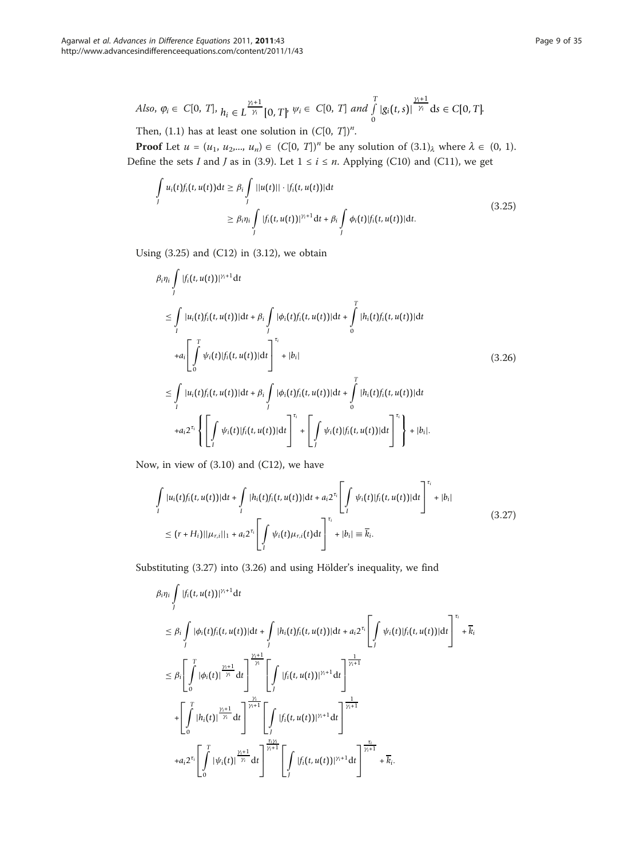$$
Also, \varphi_i \in C[0, T], \, h_i \in L^{\frac{\gamma_i+1}{\gamma_i}}[0, T] \,\,\forall i \in C[0, T] \,\, and \,\, \int_0^T |g_i(t, s)|^{\frac{\gamma_i+1}{\gamma_i}} ds \in C[0, T].
$$

Then, (1.1) has at least one solution in  $(C[0, T])<sup>n</sup>$ .

**Proof** Let  $u = (u_1, u_2,..., u_n) \in (C[0, T])^n$  be any solution of  $(3.1)_{\lambda}$  where  $\lambda \in (0, 1)$ . Define the sets I and J as in (3.9). Let  $1 \le i \le n$ . Applying (C10) and (C11), we get

$$
\int_{J} u_i(t) f_i(t, u(t)) dt \ge \beta_i \int_{J} ||u(t)|| \cdot |f_i(t, u(t))| dt
$$
\n
$$
\ge \beta_i \eta_i \int_{J} |f_i(t, u(t))|^{\gamma_i + 1} dt + \beta_i \int_{J} \phi_i(t) |f_i(t, u(t))| dt.
$$
\n(3.25)

Using  $(3.25)$  and  $(C12)$  in  $(3.12)$ , we obtain

$$
\beta_{i}\eta_{i} \int_{I} |f_{i}(t, u(t))|^{\gamma_{i}+1} dt
$$
\n
$$
\leq \int_{I} |u_{i}(t)f_{i}(t, u(t))|dt + \beta_{i} \int_{I} |\phi_{i}(t)f_{i}(t, u(t))|dt + \int_{0}^{T} |h_{i}(t)f_{i}(t, u(t))|dt
$$
\n
$$
+ a_{i} \left[ \int_{0}^{T} \psi_{i}(t)|f_{i}(t, u(t))|dt \right]^{T_{i}} + |b_{i}| \qquad (3.26)
$$
\n
$$
\leq \int_{I} |u_{i}(t)f_{i}(t, u(t))|dt + \beta_{i} \int_{I} |\phi_{i}(t)f_{i}(t, u(t))|dt + \int_{0}^{T} |h_{i}(t)f_{i}(t, u(t))|dt
$$
\n
$$
+ a_{i}2^{\tau_{i}} \left\{ \left[ \int_{I} \psi_{i}(t)|f_{i}(t, u(t))|dt \right]^{T_{i}} + \left[ \int_{I} \psi_{i}(t)|f_{i}(t, u(t))|dt \right]^{T_{i}} \right\} + |b_{i}|.
$$

Now, in view of (3.10) and (C12), we have

$$
\int_{I} |u_i(t)f_i(t, u(t))|dt + \int_{I} |h_i(t)f_i(t, u(t))|dt + a_i 2^{\tau_i} \left[ \int_{I} \psi_i(t)|f_i(t, u(t))|dt \right]^{\tau_i} + |b_i|
$$
\n
$$
\leq (r + H_i)||\mu_{r,i}||_1 + a_i 2^{\tau_i} \left[ \int_{I} \psi_i(t)\mu_{r,i}(t)dt \right]^{\tau_i} + |b_i| \equiv \overline{k_i}.
$$
\n(3.27)

Substituting (3.27) into (3.26) and using Hölder's inequality, we find

$$
\beta_{i}\eta_{i} \int_{J} |f_{i}(t, u(t))|^{\gamma_{i}+1} dt
$$
\n
$$
\leq \beta_{i} \int_{J} |\phi_{i}(t)f_{i}(t, u(t))| dt + \int_{J} |h_{i}(t)f_{i}(t, u(t))| dt + a_{i}2^{\tau_{i}} \left[ \int_{J} \psi_{i}(t) |f_{i}(t, u(t))| dt \right]^{ \tau_{i}} + \overline{k}_{i}
$$
\n
$$
\leq \beta_{i} \left[ \int_{0}^{T} |\phi_{i}(t)|^{\frac{\gamma_{i}+1}{\gamma_{i}}} dt \right]^{\frac{\gamma_{i}+1}{\gamma_{i}}} \left[ \int_{J} |f_{i}(t, u(t))|^{\gamma_{i}+1} dt \right]^{\frac{1}{\gamma_{i}+1}}
$$
\n
$$
+ \left[ \int_{0}^{T} |h_{i}(t)|^{\frac{\gamma_{i}+1}{\gamma_{i}}} dt \right]^{\frac{\gamma_{i}}{\gamma_{i}+1}} \left[ \int_{J} |f_{i}(t, u(t))|^{\gamma_{i}+1} dt \right]^{\frac{1}{\gamma_{i}+1}}
$$
\n
$$
+ a_{i}2^{\tau_{i}} \left[ \int_{0}^{T} |\psi_{i}(t)|^{\frac{\gamma_{i}+1}{\gamma_{i}}} dt \right]^{\frac{\tau_{i}\gamma_{i}}{\gamma_{i}+1}} \left[ \int_{J} |f_{i}(t, u(t))|^{\gamma_{i}+1} dt \right]^{\frac{\tau_{i}}{\gamma_{i}+1}} + \overline{k}_{i}.
$$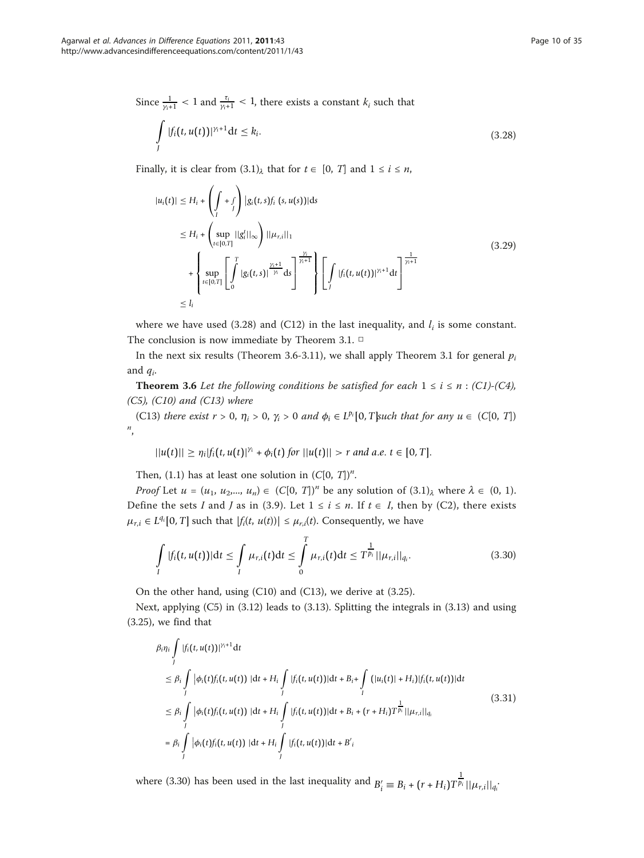Since  $\frac{1}{\gamma_{i+1}} < 1$  and  $\frac{\tau_i}{\gamma_{i+1}} < 1$ , there exists a constant  $k_i$  such that

$$
\int_{J} |f_i(t, u(t))|^{\gamma_i+1} dt \le k_i.
$$
\n(3.28)

Finally, it is clear from  $(3.1)$ <sub> $\lambda$ </sub> that for  $t \in [0, T]$  and  $1 \le i \le n$ ,

$$
|u_i(t)| \le H_i + \left(\int_I + \int_I\right) |g_i(t, s)f_i(s, u(s))| ds
$$
  
\n
$$
\le H_i + \left(\sup_{t \in [0,T]} ||g_i^t||_{\infty}\right) ||\mu_{r,i}||_1
$$
  
\n
$$
+ \left\{\sup_{t \in [0,T]} \left[\int_0^T |g_i(t, s)|^{\frac{\gamma_1 + 1}{\gamma_1}} ds\right]^{\frac{\gamma_1}{\gamma_1 + 1}}\right\} \left[\int_I |f_i(t, u(t))|^{\gamma_1 + 1} dt\right]^{\frac{1}{\gamma_1 + 1}}
$$
  
\n
$$
\le I_i
$$
\n(3.29)

where we have used (3.28) and (C12) in the last inequality, and  $l_i$  is some constant. The conclusion is now immediate by Theorem 3.1. □

In the next six results (Theorem 3.6-3.11), we shall apply Theorem 3.1 for general  $p_i$ and  $q_i$ .

**Theorem 3.6** Let the following conditions be satisfied for each  $1 \le i \le n$  : (C1)-(C4),  $(C5)$ ,  $(C10)$  and  $(C13)$  where

(C13) there exist  $r > 0$ ,  $\eta_i > 0$ ,  $\gamma_i > 0$  and  $\phi_i \in L^{p_i}[0, T]$ such that for any  $u \in (C[0, T])$  $n_{\alpha}$ 

$$
||u(t)|| \geq \eta_i |f_i(t, u(t)|^{\gamma_i} + \phi_i(t) \text{ for } ||u(t)|| > r \text{ and a.e. } t \in [0, T].
$$

Then, (1.1) has at least one solution in  $(C[0, T])^n$ .

*Proof* Let  $u = (u_1, u_2, ..., u_n) \in (C[0, T])^n$  be any solution of  $(3.1)_{\lambda}$  where  $\lambda \in (0, 1)$ . Define the sets I and J as in (3.9). Let  $1 \le i \le n$ . If  $t \in I$ , then by (C2), there exists  $\mu_{r,i} \in L^{q_i}[0,T]$  such that  $|f_i(t, u(t))| \leq \mu_{r,i}(t)$ . Consequently, we have

$$
\int_{I} |f_i(t, u(t))| \, \mathrm{d}t \leq \int_{I} \mu_{r,i}(t) \, \mathrm{d}t \leq \int_{0}^{T} \mu_{r,i}(t) \, \mathrm{d}t \leq T^{\frac{1}{p_i}} ||\mu_{r,i}||_{q_i}.\tag{3.30}
$$

On the other hand, using (C10) and (C13), we derive at (3.25).

Next, applying (C5) in (3.12) leads to (3.13). Splitting the integrals in (3.13) and using (3.25), we find that

$$
\beta_{i}\eta_{i} \int_{I} |f_{i}(t, u(t))|^{\gamma_{i}+1} dt
$$
\n
$$
\leq \beta_{i} \int_{I} |\phi_{i}(t)f_{i}(t, u(t))| dt + H_{i} \int_{I} |f_{i}(t, u(t))| dt + B_{i} + \int_{I} (|u_{i}(t)| + H_{i}) |f_{i}(t, u(t))| dt
$$
\n
$$
\leq \beta_{i} \int_{I} |\phi_{i}(t)f_{i}(t, u(t))| dt + H_{i} \int_{I} |f_{i}(t, u(t))| dt + B_{i} + (r + H_{i}) T^{\frac{1}{p_{i}}} ||\mu_{r,i}||_{q_{i}}
$$
\n
$$
= \beta_{i} \int_{I} |\phi_{i}(t)f_{i}(t, u(t))| dt + H_{i} \int_{I} |f_{i}(t, u(t))| dt + B'_{i}
$$
\n(3.31)

where (3.30) has been used in the last inequality and  $B'_i \equiv B_i + (r + H_i)T$  $\frac{1}{p_i}$   $||\mu_{r,i}||_{q_i}$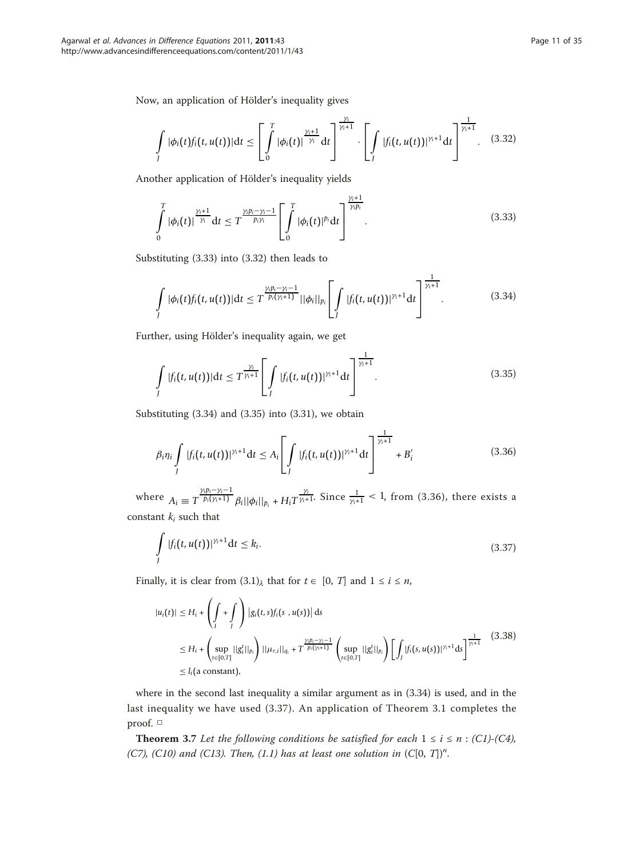Now, an application of Hölder's inequality gives

$$
\int_{I} |\phi_i(t) f_i(t, u(t))| \mathrm{d} t \leq \left[ \int_{0}^{T} |\phi_i(t)|^{\frac{\gamma_i+1}{\gamma_i}} \mathrm{d} t \right]^{\frac{\gamma_i}{\gamma_i+1}} \cdot \left[ \int_{I} |f_i(t, u(t))|^{\gamma_i+1} \mathrm{d} t \right]^{\frac{1}{\gamma_i+1}}. \quad (3.32)
$$

Another application of Hölder's inequality yields

$$
\int\limits_{0}^{T} |\phi_i(t)|^{\frac{\gamma_i+1}{\gamma_i}} dt \leq T^{\frac{\gamma_i p_i-\gamma_i-1}{p_i\gamma_i}} \left[ \int\limits_{0}^{T} |\phi_i(t)|^{p_i} dt \right]^{\frac{\gamma_i+1}{\gamma_i p_i}}.
$$
\n(3.33)

Substituting (3.33) into (3.32) then leads to

$$
\int_{I} |\phi_i(t) f_i(t, u(t))| dt \leq T^{\frac{\gamma_i p_i - \gamma_i - 1}{p_i(\gamma_i + 1)}} ||\phi_i||_{p_i} \left[ \int_{I} |f_i(t, u(t))|^{\gamma_i + 1} dt \right]^{\frac{1}{\gamma_i + 1}}.
$$
\n(3.34)

Further, using Hölder's inequality again, we get

$$
\int\limits_{J} |f_i(t, u(t))| \, \mathrm{d}t \leq T^{\frac{\gamma_i}{\gamma_i+1}} \left[ \int\limits_{J} |f_i(t, u(t))|^{\gamma_i+1} \, \mathrm{d}t \right]^{\frac{1}{\gamma_i+1}}. \tag{3.35}
$$

Substituting (3.34) and (3.35) into (3.31), we obtain

$$
\beta_i \eta_i \int\limits_J |f_i(t, u(t))|^{\gamma_i+1} \mathrm{d}t \leq A_i \left[ \int\limits_J |f_i(t, u(t))|^{\gamma_i+1} \mathrm{d}t \right]^{\frac{1}{\gamma_i+1}} + B'_i \tag{3.36}
$$

where  $A_i \equiv T \frac{\gamma_i p_i - \gamma_i - 1}{p_i(\gamma_i + 1)}$ *p*<sub>*i*</sub>(*γ*<sub>*i*</sub>+1)</sub>  $\frac{1}{p_i(|\psi_i||_{p_i} + H_i T^{\frac{\gamma_i}{\gamma_i+1}}}$ . Since  $\frac{1}{\gamma_i+1}$  < 1, from (3.36), there exists a constant  $k_i$  such that

$$
\int\limits_J |f_i(t, u(t))|^{\gamma_i+1} \mathrm{d}t \leq k_i. \tag{3.37}
$$

Finally, it is clear from  $(3.1)$ <sub> $\lambda$ </sub> that for  $t \in [0, T]$  and  $1 \le i \le n$ ,

$$
|u_i(t)| \le H_i + \left(\int_t + \int_t\right) |g_i(t,s)f_i(s, u(s))| ds
$$
  
\n
$$
\le H_i + \left(\sup_{t \in [0,T]} ||g_i^t||_{p_i}\right) ||\mu_{r,i}||_{q_i} + T^{\frac{\gamma(p_i - \gamma_i - 1)}{p_i(\gamma_i + 1)}} \left(\sup_{t \in [0,T]} ||g_i^t||_{p_i}\right) \left[\int_J |f_i(s, u(s))|^{\gamma_i + 1} ds\right]^{\frac{1}{\gamma_i + 1}} (3.38)
$$
  
\n
$$
\le I_i(\text{a constant}),
$$

where in the second last inequality a similar argument as in (3.34) is used, and in the last inequality we have used (3.37). An application of Theorem 3.1 completes the proof. □

**Theorem 3.7** Let the following conditions be satisfied for each  $1 \le i \le n$  : (C1)-(C4), (C7), (C10) and (C13). Then, (1.1) has at least one solution in  $(C[0, T])<sup>n</sup>$ .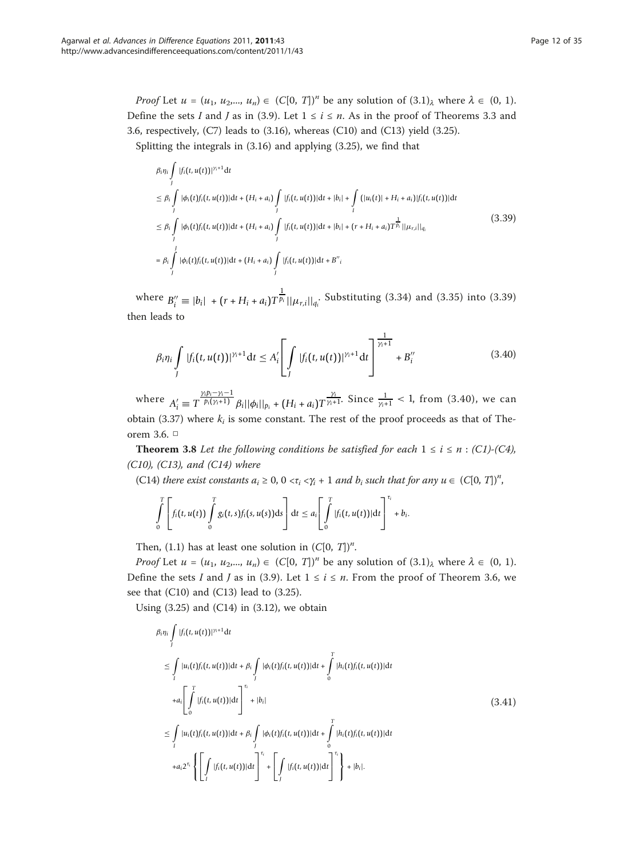*Proof* Let  $u = (u_1, u_2, ..., u_n) \in (C[0, T])^n$  be any solution of  $(3.1)_{\lambda}$  where  $\lambda \in (0, 1)$ . Define the sets I and J as in (3.9). Let  $1 \le i \le n$ . As in the proof of Theorems 3.3 and 3.6, respectively, (C7) leads to (3.16), whereas (C10) and (C13) yield (3.25).

Splitting the integrals in (3.16) and applying (3.25), we find that

$$
\beta_{i}\eta_{i} \int_{J} |f_{i}(t, u(t))|^{\gamma_{i}+1} dt
$$
\n
$$
\leq \beta_{i} \int_{J} |\phi_{i}(t)f_{i}(t, u(t))|dt + (H_{i} + a_{i}) \int_{J} |f_{i}(t, u(t))|dt + |b_{i}| + \int_{I} (|u_{i}(t)| + H_{i} + a_{i})|f_{i}(t, u(t))|dt
$$
\n
$$
\leq \beta_{i} \int_{J} |\phi_{i}(t)f_{i}(t, u(t))|dt + (H_{i} + a_{i}) \int_{J} |f_{i}(t, u(t))|dt + |b_{i}| + (r + H_{i} + a_{i})T^{\frac{1}{p_{i}}}||\mu_{r,i}||_{q_{i}}
$$
\n
$$
= \beta_{i} \int_{J} |\phi_{i}(t)f_{i}(t, u(t))|dt + (H_{i} + a_{i}) \int_{J} |f_{i}(t, u(t))|dt + B''_{i}
$$
\n
$$
(3.39)
$$

 $\text{where } B_i'' \equiv |b_i| + (r + H_i + a_i)T$  $\frac{1}{p_i}$  || $\mu_{r,i}$ ||<sub> $q_i$ </sub>. Substituting (3.34) and (3.35) into (3.39) then leads to

$$
\beta_i \eta_i \int\limits_J |f_i(t, u(t))|^{\gamma_i+1} \, \mathrm{d}t \leq A'_i \left[ \int\limits_J |f_i(t, u(t))|^{\gamma_i+1} \, \mathrm{d}t \right]^{\frac{1}{\gamma_i+1}} + B''_i \tag{3.40}
$$

where  $A'_i \equiv T$ γ*ipi*−γ*i*−1  $\frac{\gamma_i p_i - \gamma_i - 1}{p_i(\gamma_i + 1)} \beta_i ||\phi_i||_{p_i} + (H_i + a_i) T^{\frac{\gamma_i}{\gamma_i + 1}}$ . Since  $\frac{1}{\gamma_i + 1} < 1$ , from (3.40), we can obtain (3.37) where  $k_i$  is some constant. The rest of the proof proceeds as that of Theorem 3.6. □

**Theorem 3.8** Let the following conditions be satisfied for each  $1 \le i \le n$  : (C1)-(C4), (C10), (C13), and (C14) where

(C14) there exist constants  $a_i \ge 0$ ,  $0 \lt \tau_i \lt \gamma_i + 1$  and  $b_i$  such that for any  $u \in (C[0, T])^n$ ,

$$
\int\limits_{0}^{T}\left[f_i(t,u(t))\int\limits_{0}^{T}g_i(t,s)f_i(s,u(s))\mathrm{d} s\right]\mathrm{d} t\leq a_i\left[\int\limits_{0}^{T}|f_i(t,u(t))|\mathrm{d} t\right]^{t_i}+b_i.
$$

Then, (1.1) has at least one solution in  $(C[0, T])^n$ .

*Proof* Let  $u = (u_1, u_2, ..., u_n) \in (C[0, T])^n$  be any solution of  $(3.1)_{\lambda}$  where  $\lambda \in (0, 1)$ . Define the sets I and J as in (3.9). Let  $1 \le i \le n$ . From the proof of Theorem 3.6, we see that (C10) and (C13) lead to (3.25).

Using  $(3.25)$  and  $(C14)$  in  $(3.12)$ , we obtain

$$
\beta_{i}\eta_{i} \int_{J} |f_{i}(t, u(t))|^{\gamma+1} dt
$$
\n
$$
\leq \int_{I} |u_{i}(t)f_{i}(t, u(t))|dt + \beta_{i} \int_{J} |\phi_{i}(t)f_{i}(t, u(t))|dt + \int_{0}^{T} |h_{i}(t)f_{i}(t, u(t))|dt
$$
\n
$$
+ a_{i} \left[ \int_{0}^{T} |f_{i}(t, u(t))|dt \right]_{t}^{T_{i}} + |b_{i}|
$$
\n
$$
\leq \int_{I} |u_{i}(t)f_{i}(t, u(t))|dt + \beta_{i} \int_{J} |\phi_{i}(t)f_{i}(t, u(t))|dt + \int_{0}^{T} |h_{i}(t)f_{i}(t, u(t))|dt
$$
\n
$$
+ a_{i}2^{\tau_{i}} \left\{ \left[ \int_{I} |f_{i}(t, u(t))|dt \right]_{t}^{T_{i}} + \left[ \int_{I} |f_{i}(t, u(t))|dt \right]_{t}^{T_{i}} \right\} + |b_{i}|.
$$
\n(3.41)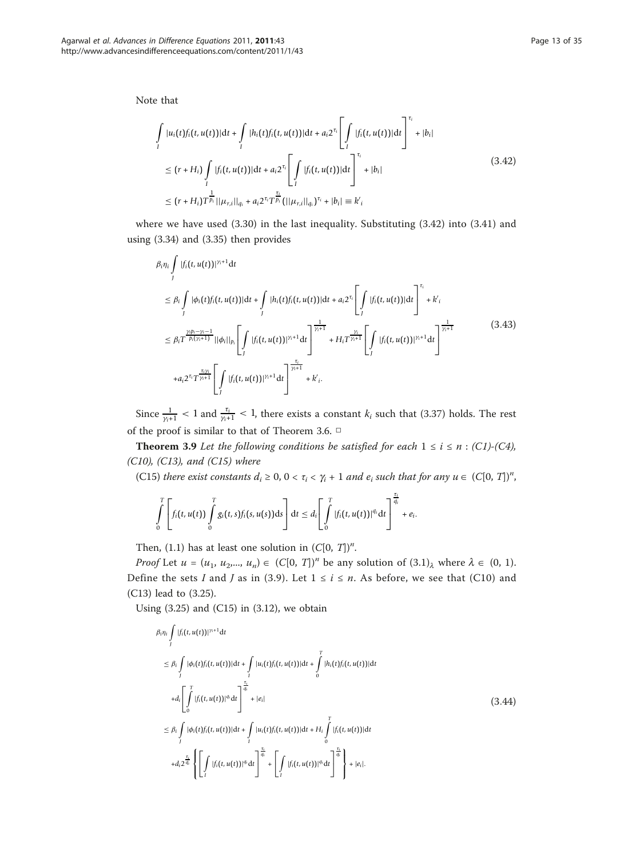Note that

$$
\int_{I} |u_i(t)f_i(t, u(t))|dt + \int_{I} |h_i(t)f_i(t, u(t))|dt + a_i 2^{\tau_i} \left[ \int_{I} |f_i(t, u(t))|dt \right]^{\tau_i} + |b_i|
$$
\n
$$
\leq (r + H_i) \int_{I} |f_i(t, u(t))|dt + a_i 2^{\tau_i} \left[ \int_{I} |f_i(t, u(t))|dt \right]^{\tau_i} + |b_i|
$$
\n
$$
\leq (r + H_i) T^{\frac{1}{p_i}} ||\mu_{r,i}||_{q_i} + a_i 2^{\tau_i} T^{\frac{\tau_i}{p_i}} (||\mu_{r,i}||_{q_i})^{\tau_i} + |b_i| \equiv k'_i
$$
\n(3.42)

where we have used (3.30) in the last inequality. Substituting (3.42) into (3.41) and using (3.34) and (3.35) then provides

$$
\beta_{i}\eta_{i} \int_{J} |f_{i}(t, u(t))|^{\gamma_{i}+1} dt
$$
\n
$$
\leq \beta_{i} \int_{J} |\phi_{i}(t)f_{i}(t, u(t))|dt + \int_{J} |h_{i}(t)f_{i}(t, u(t))|dt + a_{i}2^{\tau_{i}} \left[ \int_{J} |f_{i}(t, u(t))|dt \right]^{\tau_{i}} + k'_{i}
$$
\n
$$
\leq \beta_{i}T^{\frac{\gamma_{i}p_{i}-\gamma_{i}-1}{p_{i}(\gamma_{i}+1)}} ||\phi_{i}||_{p_{i}} \left[ \int_{J} |f_{i}(t, u(t))|^{\gamma_{i}+1} dt \right]^{\frac{1}{\gamma_{i}+1}} + H_{i}T^{\frac{\gamma_{i}}{\gamma_{i}+1}} \left[ \int_{J} |f_{i}(t, u(t))|^{\gamma_{i}+1} dt \right]^{\frac{1}{\gamma_{i}+1}}
$$
\n
$$
+ a_{i}2^{\tau_{i}}T^{\frac{\tau_{i}\gamma_{i}}{\gamma_{i}+1}} \left[ \int_{J} |f_{i}(t, u(t))|^{\gamma_{i}+1} dt \right]^{\frac{\tau_{i}}{\gamma_{i}+1}} + k'_{i}.
$$
\n(3.43)

Since  $\frac{1}{\gamma+1}$  < 1 and  $\frac{\tau_i}{\gamma+1}$  < 1, there exists a constant  $k_i$  such that (3.37) holds. The rest of the proof is similar to that of Theorem 3.6.  $\Box$ 

**Theorem 3.9** Let the following conditions be satisfied for each  $1 \le i \le n$ : (C1)-(C4), (C10), (C13), and (C15) where

(C15) there exist constants  $d_i \geq 0$ ,  $0 < \tau_i < \gamma_i + 1$  and  $e_i$  such that for any  $u \in (C[0, T])^n$ ,

$$
\int\limits_0^T\left[ f_i(t,u(t))\int\limits_0^T g_i(t,s)f_i(s,u(s))\mathrm{d} s\right]\mathrm{d} t\leq d_i\Bigg[\int\limits_0^T|f_i(t,u(t))|^{q_i}\mathrm{d} t\Bigg]^{\frac{\tau_i}{q_i}}+e_i.
$$

Then, (1.1) has at least one solution in  $(C[0, T])^n$ .

*Proof* Let  $u = (u_1, u_2, ..., u_n) \in (C[0, T])^n$  be any solution of  $(3.1)_{\lambda}$  where  $\lambda \in (0, 1)$ . Define the sets I and J as in (3.9). Let  $1 \le i \le n$ . As before, we see that (C10) and (C13) lead to (3.25).

Using  $(3.25)$  and  $(C15)$  in  $(3.12)$ , we obtain

$$
\beta_{i}\eta_{i}\int_{J}|f_{i}(t,u(t))|^{N+1}dt
$$
\n
$$
\leq \beta_{i}\int_{J}|\phi_{i}(t)f_{i}(t,u(t))|dt + \int_{I} |u_{i}(t)f_{i}(t,u(t))|dt + \int_{0}^{T}|h_{i}(t)f_{i}(t,u(t))|dt
$$
\n
$$
+d_{i}\left[\int_{0}^{T}|f_{i}(t,u(t))|^{q_{i}}dt\right]^{\frac{T_{i}}{q_{i}}} + |e_{i}|
$$
\n
$$
\leq \beta_{i}\int_{J}|\phi_{i}(t)f_{i}(t,u(t))|dt + \int_{I} |u_{i}(t)f_{i}(t,u(t))|dt + H_{i}\int_{0}^{T}|f_{i}(t,u(t))|dt
$$
\n
$$
+d_{i}2^{\frac{\tau_{i}}{q_{i}}}\left\{\left[\int_{I}|f_{i}(t,u(t))|^{q_{i}}dt\right]^{\frac{\tau_{i}}{q_{i}}} + \left[\int_{I}|f_{i}(t,u(t))|^{q_{i}}dt\right]^{\frac{\tau_{i}}{q_{i}}} + |e_{i}|.\right\}
$$
\n(3.44)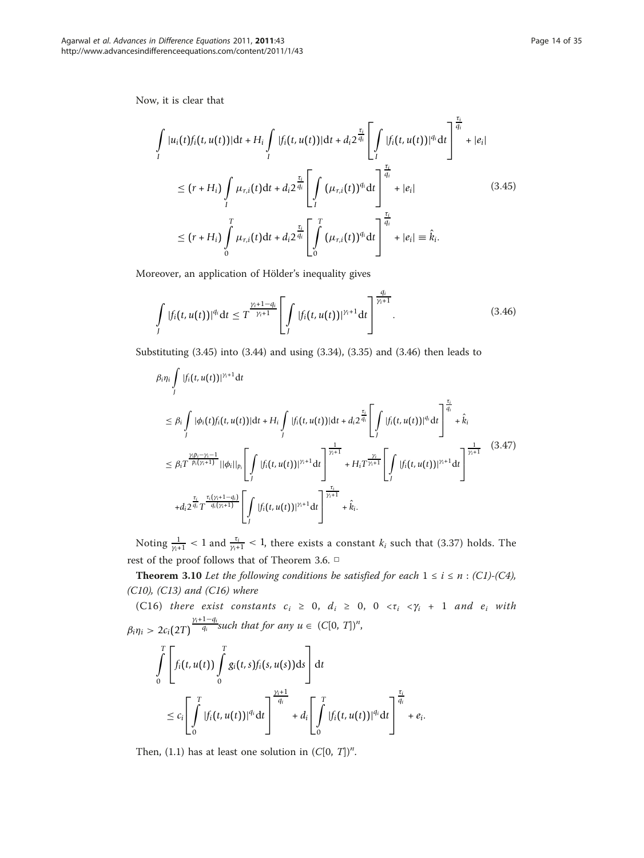Now, it is clear that

$$
\int_{I} |u_{i}(t)f_{i}(t, u(t))|dt + H_{i} \int_{I} |f_{i}(t, u(t))|dt + d_{i}2^{\frac{\tau_{i}}{q_{i}}}\left[\int_{I} |f_{i}(t, u(t))|^{q_{i}}dt\right]^{\frac{\tau_{i}}{q_{i}}} + |e_{i}|
$$
\n
$$
\leq (r + H_{i}) \int_{I} \mu_{r,i}(t)dt + d_{i}2^{\frac{\tau_{i}}{q_{i}}}\left[\int_{I} (\mu_{r,i}(t))^{q_{i}}dt\right]^{\frac{\tau_{i}}{q_{i}}} + |e_{i}| \qquad (3.45)
$$
\n
$$
\leq (r + H_{i}) \int_{0}^{T} \mu_{r,i}(t)dt + d_{i}2^{\frac{\tau_{i}}{q_{i}}}\left[\int_{0}^{T} (\mu_{r,i}(t))^{q_{i}}dt\right]^{\frac{\tau_{i}}{q_{i}}} + |e_{i}| \equiv \hat{k}_{i}.
$$

Moreover, an application of Hölder's inequality gives

$$
\int_{J} |f_i(t, u(t))|^{q_i} dt \leq T^{\frac{\gamma_i+1-q_i}{\gamma_i+1}} \left[ \int_{J} |f_i(t, u(t))|^{\gamma_i+1} dt \right]^{\frac{q_i}{\gamma_i+1}}.
$$
\n(3.46)

Substituting (3.45) into (3.44) and using (3.34), (3.35) and (3.46) then leads to

$$
\beta_{i}\eta_{i} \int_{J} |f_{i}(t, u(t))|^{\gamma+1} dt
$$
\n
$$
\leq \beta_{i} \int_{J} |\phi_{i}(t)f_{i}(t, u(t))| dt + H_{i} \int_{J} |f_{i}(t, u(t))| dt + d_{i} 2^{\frac{r_{i}}{q_{i}}} \left[ \int_{J} |f_{i}(t, u(t))|^{q_{i}} dt \right]^{\frac{r_{i}}{q_{i}}} + \hat{k}_{i}
$$
\n
$$
\leq \beta_{i} T^{\frac{\gamma(p_{i}-\gamma-1)}{p_{i}(\gamma+1)}} ||\phi_{i}||_{p_{i}} \left[ \int_{J} |f_{i}(t, u(t))|^{\gamma_{i}+1} dt \right]^{\frac{1}{\gamma_{i}+1}} + H_{i} T^{\frac{\gamma_{i}}{\gamma_{i}+1}} \left[ \int_{J} |f_{i}(t, u(t))|^{\gamma_{i}+1} dt \right]^{\frac{1}{\gamma_{i}+1}} (3.47)
$$
\n
$$
+ d_{i} 2^{\frac{r_{i}}{q_{i}}} T^{\frac{r_{i}(\gamma_{i}+1-q_{i})}{q_{i}(\gamma_{i}+1)}} \left[ \int_{J} |f_{i}(t, u(t))|^{\gamma_{i}+1} dt \right]^{\frac{r_{i}}{\gamma_{i}+1}} + \hat{k}_{i}.
$$

Noting  $\frac{1}{\gamma+1}$  < 1 and  $\frac{\tau_i}{\gamma+1}$  < 1, there exists a constant  $k_i$  such that (3.37) holds. The rest of the proof follows that of Theorem 3.6. □

Theorem 3.10 Let the following conditions be satisfied for each  $1 \le i \le n$  : (C1)-(C4), (C10), (C13) and (C16) where

(C16) there exist constants  $c_i \geq 0$ ,  $d_i \geq 0$ ,  $0 \langle \tau_i \langle \gamma_i + 1 \rangle$  and  $e_i$  with  $\beta_i \eta_i > 2c_i(2T)$  $\frac{\gamma_i+1-q_i}{q_i}$ such that for any  $u \in (C[0, T])^n$ ,

$$
\int\limits_{0}^{T}\left[f_{i}(t,u(t))\int\limits_{0}^{T}g_{i}(t,s)f_{i}(s,u(s))\mathrm{d}s\right]\mathrm{d}t
$$
\n
$$
\leq c_{i}\left[\int\limits_{0}^{T}|f_{i}(t,u(t))|^{q_{i}}\mathrm{d}t\right]^{\frac{\gamma_{i}+1}{q_{i}}}+d_{i}\left[\int\limits_{0}^{T}|f_{i}(t,u(t))|^{q_{i}}\mathrm{d}t\right]^{\frac{\tau_{i}}{q_{i}}}+e_{i}.
$$

Then, (1.1) has at least one solution in  $(C[0, T])^n$ .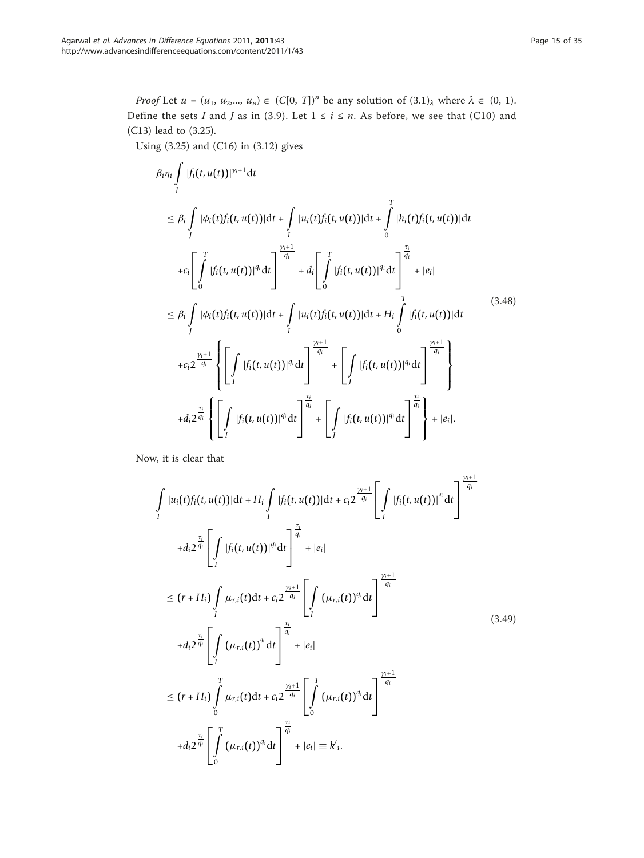*Proof* Let  $u = (u_1, u_2, ..., u_n) \in (C[0, T])^n$  be any solution of  $(3.1)_{\lambda}$  where  $\lambda \in (0, 1)$ . Define the sets I and J as in (3.9). Let  $1 \le i \le n$ . As before, we see that (C10) and (C13) lead to (3.25).

Using (3.25) and (C16) in (3.12) gives

$$
\beta_{i}\eta_{i}\int_{j}|f_{i}(t,u(t))|^{\gamma_{i}+1}dt
$$
\n
$$
\leq \beta_{i}\int_{J}|\phi_{i}(t)f_{i}(t,u(t))|dt + \int_{I}|u_{i}(t)f_{i}(t,u(t))|dt + \int_{0}^{T}|h_{i}(t)f_{i}(t,u(t))|dt
$$
\n
$$
+c_{i}\left[\int_{0}^{T}|f_{i}(t,u(t))|^{q_{i}}dt\right]^{q_{i}+1} + d_{i}\left[\int_{0}^{T}|f_{i}(t,u(t))|^{q_{i}}dt\right]^{q_{i}+1} + |e_{i}|
$$
\n
$$
\leq \beta_{i}\int_{J}|\phi_{i}(t)f_{i}(t,u(t))|dt + \int_{I}|u_{i}(t)f_{i}(t,u(t))|dt + H_{i}\int_{0}^{T}|f_{i}(t,u(t))|dt
$$
\n
$$
+c_{i}2^{\frac{\gamma_{i}+1}{q_{i}}} \left\{\int_{I}|f_{i}(t,u(t))|^{q_{i}}dt\right\}^{q_{i}+1} + \left[\int_{I}|f_{i}(t,u(t))|^{q_{i}}dt\right]^{q_{i}+1} + d_{i}2^{\frac{\gamma_{i}+1}{q_{i}}} \left\{\int_{I}|f_{i}(t,u(t))|^{q_{i}}dt\right\}^{q_{i}+1} + d_{i}2^{\frac{\gamma_{i}}{q_{i}}} \left\{\int_{I}|f_{i}(t,u(t))|^{q_{i}}dt\right\}^{q_{i}+1} + \left[\int_{I}|f_{i}(t,u(t))|^{q_{i}}dt\right]^{q_{i}+1} + |e_{i}|.
$$
\n(3.48)

Now, it is clear that

$$
\int_{I} |u_{i}(t)f_{i}(t, u(t))|dt + H_{i} \int_{I} |f_{i}(t, u(t))|dt + c_{i}2^{\frac{\gamma_{i}+1}{q_{i}}} \left[ \int_{I} |f_{i}(t, u(t))|^{q_{i}} dt \right]^{\frac{\gamma_{i}+1}{q_{i}}} + d_{i}2^{\frac{\tau_{i}}{q_{i}}} \left[ \int_{I} |f_{i}(t, u(t))|^{q_{i}} dt \right]^{\frac{\tau_{i}}{q_{i}}} + |e_{i}|
$$
\n
$$
\leq (r + H_{i}) \int_{I} \mu_{r,i}(t)dt + c_{i}2^{\frac{\gamma_{i}+1}{q_{i}}} \left[ \int_{I} (\mu_{r,i}(t))^{q_{i}} dt \right]^{\frac{\gamma_{i}+1}{q_{i}}} + |e_{i}|
$$
\n
$$
+ d_{i}2^{\frac{\tau_{i}}{q_{i}}} \left[ \int_{I} (\mu_{r,i}(t))^{q_{i}} dt \right]^{\frac{\tau_{i}}{q_{i}}} + |e_{i}|
$$
\n
$$
\leq (r + H_{i}) \int_{0}^{T} \mu_{r,i}(t)dt + c_{i}2^{\frac{\gamma_{i}+1}{q_{i}}} \left[ \int_{0}^{T} (\mu_{r,i}(t))^{q_{i}} dt \right]^{\frac{\gamma_{i}+1}{q_{i}}} + d_{i}2^{\frac{\tau_{i}}{q_{i}}} \left[ \int_{0}^{T} (\mu_{r,i}(t))^{q_{i}} dt \right]^{\frac{\tau_{i}}{q_{i}}} + d_{i}2^{\frac{\tau_{i}}{q_{i}}} \left[ \int_{0}^{T} (\mu_{r,i}(t))^{q_{i}} dt \right]^{+\frac{\tau_{i}}{q_{i}}} + |e_{i}| \equiv k'_{i}.
$$
\n(3.49)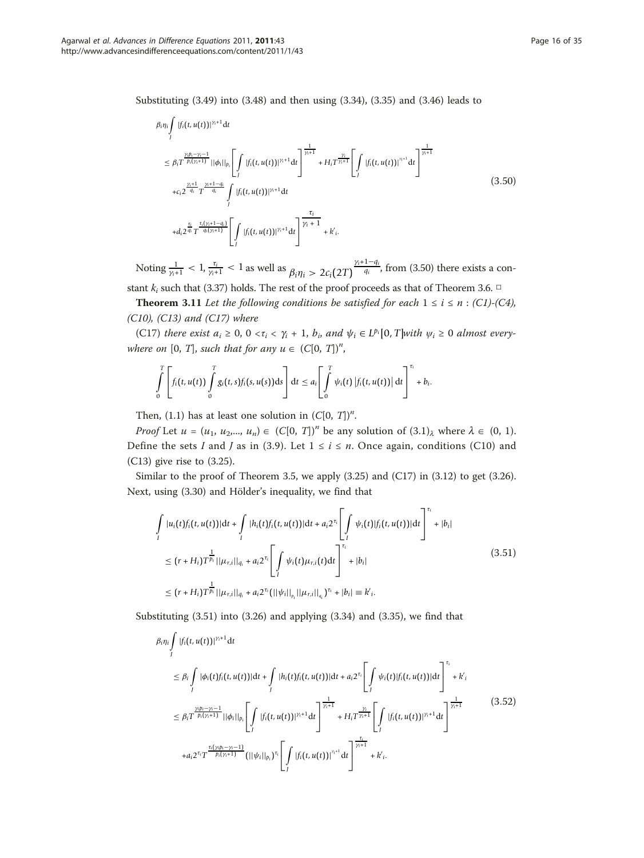Substituting (3.49) into (3.48) and then using (3.34), (3.35) and (3.46) leads to

$$
\beta_{i}\eta_{i}\int_{J} |f_{i}(t, u(t))|^{\gamma_{i}+1} dt
$$
\n
$$
\leq \beta_{i}T^{\frac{\gamma_{i}p_{i}-\gamma_{i}-1}{p_{i}(\gamma_{i}+1)}}||\phi_{i}||_{p_{i}}\left[\int_{J} |f_{i}(t, u(t))|^{\gamma_{i}+1} dt\right]^{\frac{1}{\gamma_{i}+1}} + H_{i}T^{\frac{\gamma_{i}}{\gamma_{i}+1}}\left[\int_{J} |f_{i}(t, u(t))|^{\gamma_{i}+1} dt\right]^{\frac{1}{\gamma_{i}+1}}
$$
\n
$$
+c_{i}2^{\frac{\gamma_{i}+1}{q_{i}}}T^{\frac{\gamma_{i}+1-q_{i}}{q_{i}}}\int_{J} |f_{i}(t, u(t))|^{\gamma_{i}+1} dt
$$
\n
$$
+d_{i}2^{\frac{\tau_{i}}{q_{i}}}T^{\frac{\tau_{i}(\gamma_{i}+1-q_{i})}{q_{i}(\gamma_{i}+1)}}\left[\int_{J} |f_{i}(t, u(t))|^{\gamma_{i}+1} dt\right]^{\frac{\tau_{i}}{\gamma_{i}+1}} + k'_{i}.
$$
\n(3.50)

Noting  $\frac{1}{\gamma_i+1} < 1$ ,  $\frac{\tau_i}{\gamma_i+1} < 1$  as well as  $\beta_i \eta_i > 2c_i(2T)^{\frac{\gamma_i+1-q_i}{q_i}}$ , from (3.50) there exists a constant  $k_i$  such that (3.37) holds. The rest of the proof proceeds as that of Theorem 3.6.  $\Box$ 

**Theorem 3.11** Let the following conditions be satisfied for each  $1 \le i \le n$  : (C1)-(C4),  $(C10)$ ,  $(C13)$  and  $(C17)$  where

(C17) there exist  $a_i \geq 0$ ,  $0 < \tau_i < \gamma_i + 1$ ,  $b_i$ , and  $\psi_i \in L^{p_i}[0, T]$ with  $\psi_i \geq 0$  almost everywhere on [0, T], such that for any  $u \in (C[0, T])^n$ ,

$$
\int\limits_{0}^{T}\left[f_i(t,u(t))\int\limits_{0}^{T}g_i(t,s)f_i(s,u(s))\mathrm{d} s\right]\mathrm{d} t\leq a_i\left[\int\limits_{0}^{T}\psi_i(t)\left|f_i(t,u(t))\right|\mathrm{d} t\right]^{T_i}+b_i.
$$

Then, (1.1) has at least one solution in  $(C[0, T])^n$ .

*Proof* Let  $u = (u_1, u_2, ..., u_n) \in (C[0, T])^n$  be any solution of  $(3.1)_{\lambda}$  where  $\lambda \in (0, 1)$ . Define the sets I and J as in (3.9). Let  $1 \le i \le n$ . Once again, conditions (C10) and (C13) give rise to (3.25).

Similar to the proof of Theorem 3.5, we apply  $(3.25)$  and  $(C17)$  in  $(3.12)$  to get  $(3.26)$ . Next, using (3.30) and Hölder's inequality, we find that

$$
\int_{I} |u_{i}(t)f_{i}(t, u(t))|dt + \int_{I} |h_{i}(t)f_{i}(t, u(t))|dt + a_{i}2^{\tau_{i}} \left[ \int_{I} \psi_{i}(t)|f_{i}(t, u(t))|dt \right]^{\tau_{i}} + |b_{i}|
$$
\n
$$
\leq (r + H_{i})T^{\frac{1}{p_{i}}}||\mu_{r,i}||_{q_{i}} + a_{i}2^{\tau_{i}} \left[ \int_{I} \psi_{i}(t)\mu_{r,i}(t)dt \right]^{\tau_{i}} + |b_{i}|
$$
\n
$$
\leq (r + H_{i})T^{\frac{1}{p_{i}}}||\mu_{r,i}||_{q_{i}} + a_{i}2^{\tau_{i}}(||\psi_{i}||_{p_{i}}||\mu_{r,i}||_{q_{i}})^{\tau_{i}} + |b_{i}| \equiv k'_{i}.
$$
\n(3.51)

Substituting (3.51) into (3.26) and applying (3.34) and (3.35), we find that

$$
\beta_{i}\eta_{i}\int_{J}|f_{i}(t,u(t))|^{\gamma_{i}+1}dt
$$
\n
$$
\leq \beta_{i}\int_{J}|\phi_{i}(t)f_{i}(t,u(t))|dt + \int_{J}|h_{i}(t)f_{i}(t,u(t))|dt + a_{i}2^{\tau_{i}}\left[\int_{J}\psi_{i}(t)|f_{i}(t,u(t))|dt\right]^{ \tau_{i}} + k'_{i}
$$
\n
$$
\leq \beta_{i}T^{\frac{\gamma_{i}p_{i}-\gamma_{i}-1}{p_{i}(\gamma_{i}+1)}}||\phi_{i}||_{p_{i}}\left[\int_{J}|f_{i}(t,u(t))|^{\gamma_{i}+1}dt\right]^{\frac{1}{\gamma_{i}+1}} + H_{i}T^{\frac{\gamma_{i}}{\gamma_{i}+1}}\left[\int_{J}|f_{i}(t,u(t))|^{\gamma_{i}+1}dt\right]^{\frac{1}{\gamma_{i}+1}}
$$
\n
$$
+a_{i}2^{\tau_{i}}T^{\frac{\tau_{i}(\gamma_{i}p_{i}-\gamma_{i}-1)}{p_{i}(\gamma_{i}+1)}}(||\psi_{i}||_{p_{i}})^{\tau_{i}}\left[\int_{J}|f_{i}(t,u(t))|^{\gamma_{i}+1}dt\right]^{\frac{\tau_{i}}{\gamma_{i}+1}} + k'_{i}.
$$
\n(3.52)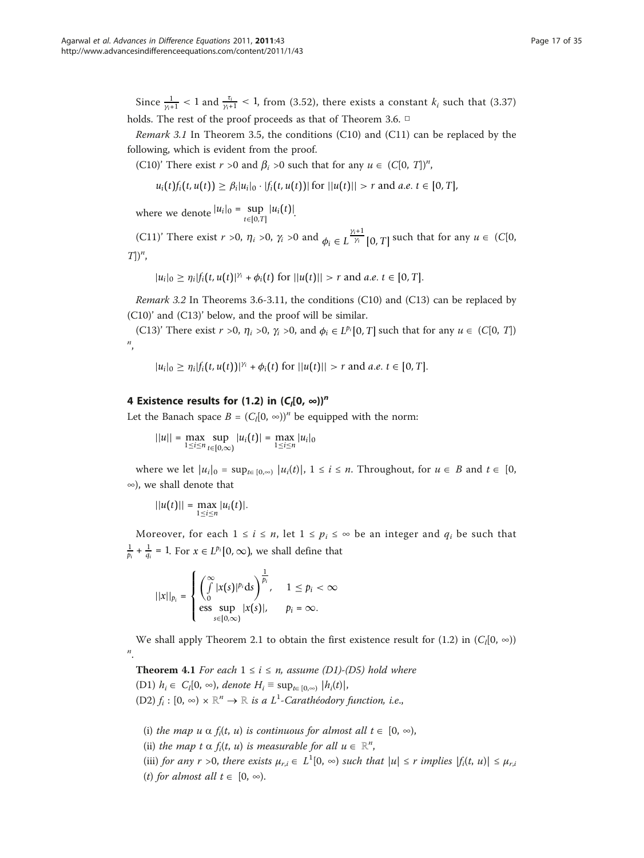Since  $\frac{1}{\gamma_{i+1}}$  < 1 and  $\frac{\tau_i}{\gamma_{i+1}}$  < 1, from (3.52), there exists a constant  $k_i$  such that (3.37) holds. The rest of the proof proceeds as that of Theorem 3.6. □

*Remark 3.1* In Theorem 3.5, the conditions (C10) and (C11) can be replaced by the following, which is evident from the proof.

(C10)' There exist  $r > 0$  and  $\beta_i > 0$  such that for any  $u \in (C[0, T])^n$ ,

 $u_i(t) f_i(t, u(t)) \geq \beta_i |u_i|_0 \cdot |f_i(t, u(t))|$  for  $||u(t)|| > r$  and *a.e.*  $t \in [0, T]$ ,

where we denote  $|u_i|_0 = \sup_{t \in [0,T]} |u_i(t)|$ .

(C11)' There exist  $r > 0$ ,  $\eta_i > 0$ ,  $\gamma_i > 0$  and  $\phi_i \in L^{\frac{\gamma_i+1}{\gamma_i}}[0, T]$  such that for any  $u \in (C[0, T])$  $T$ ])<sup>*n*</sup>,

$$
|u_i|_0 \geq \eta_i |f_i(t, u(t)|^{\gamma_i} + \phi_i(t) \text{ for } ||u(t)|| > r \text{ and } a.e. t \in [0, T].
$$

Remark 3.2 In Theorems 3.6-3.11, the conditions (C10) and (C13) can be replaced by (C10)' and (C13)' below, and the proof will be similar.

(C13)' There exist  $r > 0$ ,  $\eta_i > 0$ ,  $\gamma_i > 0$ , and  $\phi_i \in L^{p_i} [0, T]$  such that for any  $u \in (C[0, T])$  $\frac{n}{\cdot}$ 

$$
|u_i|_0 \geq \eta_i |f_i(t, u(t))|^{\gamma_i} + \phi_i(t) \text{ for } ||u(t)|| > r \text{ and } a.e. t \in [0, T].
$$

# 4 Existence results for (1.2) in  $(C_1[0, \infty))^n$

Let the Banach space  $B = (C_l[0, \infty))^n$  be equipped with the norm:

 $||u|| = \max_{1 \le i \le n} \sup_{t \in [0,\infty)} |u_i(t)| = \max_{1 \le i \le n} |u_i|_0$ 

where we let  $|u_i|_0 = \sup_{t \in [0,\infty)} |u_i(t)|$ ,  $1 \le i \le n$ . Throughout, for  $u \in B$  and  $t \in [0,1]$ ∞), we shall denote that

$$
||u(t)|| = \max_{1 \leq i \leq n} |u_i(t)|.
$$

Moreover, for each  $1 \le i \le n$ , let  $1 \le p_i \le \infty$  be an integer and  $q_i$  be such that  $\frac{1}{p_i} + \frac{1}{q_i} = 1$ . For  $x \in L^{p_i}[0, \infty)$ , we shall define that

$$
||x||_{p_i} = \begin{cases} \left(\int\limits_0^\infty |x(s)|^{p_i} \, \mathrm{d}s\right)^{\frac{1}{p_i}}, & 1 \leq p_i < \infty\\ \text{ess} \sup_{s \in [0,\infty)} |x(s)|, & p_i = \infty. \end{cases}
$$

We shall apply Theorem 2.1 to obtain the first existence result for (1.2) in  $(C_l[0, \infty))$ n .

**Theorem 4.1** For each  $1 \le i \le n$ , assume (D1)-(D5) hold where (D1)  $h_i \in C_i[0, ∞)$ , denote  $H_i \equiv \sup_{t \in [0, ∞)} |h_i(t)|$ , (D2)  $f_i : [0, \infty) \times \mathbb{R}^n \to \mathbb{R}$  is a  $L^1$ -Carathéodory function, i.e.,

(i) the map  $u \alpha f_i(t, u)$  is continuous for almost all  $t \in [0, \infty)$ ,

(ii) the map t  $\alpha$  f<sub>i</sub>(t, u) is measurable for all  $u \in \mathbb{R}^n$ ,<br>(iii)  $\zeta$ 

(iii) for any  $r > 0$ , there exists  $\mu_{r,i} \in L^1[0, \infty)$  such that  $|u| \le r$  implies  $|f_i(t, u)| \le \mu_{r,i}$ (t) for almost all  $t \in [0, \infty)$ .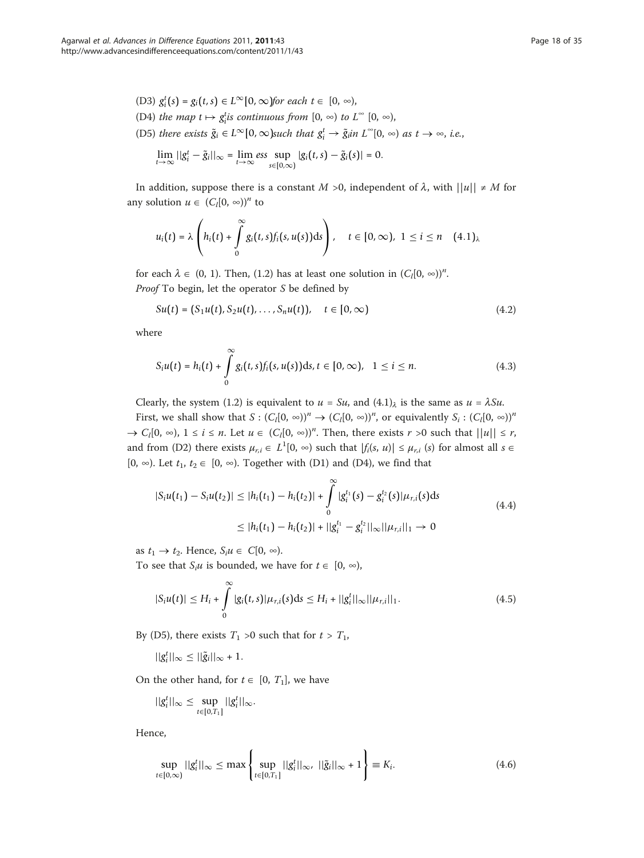\n- (D3) 
$$
g_i^t(s) = g_i(t, s) \in L^{\infty}[0, \infty)
$$
 for each  $t \in [0, \infty)$ ,
\n- (D4) the map  $t \mapsto g_i^t$  is continuous from  $[0, \infty)$  to  $L^{\infty}[0, \infty)$ ,
\n- (D5) there exists  $\tilde{g}_i \in L^{\infty}[0, \infty)$  such that  $g_i^t \to \tilde{g}_i$  in  $L^{\infty}[0, \infty)$  as  $t \to \infty$ , i.e.,  $\lim_{t \to \infty} ||g_i^t - \tilde{g}_i||_{\infty} = \lim_{t \to \infty} \text{ess} \sup_{s \in [0, \infty)} |g_i(t, s) - \tilde{g}_i(s)| = 0.$
\n

In addition, suppose there is a constant  $M > 0$ , independent of  $\lambda$ , with  $||u|| \neq M$  for any solution  $u \in (C_l[0, \infty))^n$  to

$$
u_i(t) = \lambda \left( h_i(t) + \int\limits_0^\infty g_i(t,s)f_i(s,u(s))ds \right), \quad t \in [0,\infty), \ 1 \leq i \leq n \quad (4.1)_\lambda
$$

for each  $\lambda \in (0, 1)$ . Then, (1.2) has at least one solution in  $(C_l[0, \infty))^n$ . Proof To begin, let the operator S be defined by

$$
Su(t) = (S_1u(t), S_2u(t), \dots, S_nu(t)), \quad t \in [0, \infty)
$$
\n(4.2)

where

$$
S_i u(t) = h_i(t) + \int_0^\infty g_i(t, s) f_i(s, u(s)) \, ds, t \in [0, \infty), \quad 1 \le i \le n. \tag{4.3}
$$

Clearly, the system (1.2) is equivalent to  $u = Su$ , and  $(4.1)$ <sub> $\lambda$ </sub> is the same as  $u = \lambda Su$ .

First, we shall show that  $S : (C_l[0, \infty))^n \to (C_l[0, \infty))^n$ , or equivalently  $S_i : (C_l[0, \infty))^n$  $\Rightarrow C_l[0, \infty)$ ,  $1 \le i \le n$ . Let  $u \in (C_l[0, \infty))^n$ . Then, there exists  $r > 0$  such that  $||u|| \le r$ , and from (D2) there exists  $\mu_{r,i} \in L^1[0, \infty)$  such that  $|f_i(s, u)| \le \mu_{r,i}$  (s) for almost all  $s \in$ [0, ∞). Let  $t_1, t_2 \in [0, \infty)$ . Together with (D1) and (D4), we find that

$$
|S_i u(t_1) - S_i u(t_2)| \le |h_i(t_1) - h_i(t_2)| + \int_0^\infty |g_i^{t_1}(s) - g_i^{t_2}(s)| \mu_{r,i}(s) ds
$$
  
\n
$$
\le |h_i(t_1) - h_i(t_2)| + ||g_i^{t_1} - g_i^{t_2}||_{\infty} ||\mu_{r,i}||_1 \to 0
$$
\n(4.4)

as  $t_1 \rightarrow t_2$ . Hence,  $S_i u \in C[0, \infty)$ .

To see that  $S_i u$  is bounded, we have for  $t \in [0, \infty)$ ,

$$
|S_i u(t)| \le H_i + \int_0^\infty |g_i(t,s)| \mu_{r,i}(s) ds \le H_i + ||g_i^t||_{\infty} ||\mu_{r,i}||_1.
$$
 (4.5)

By (D5), there exists  $T_1 > 0$  such that for  $t > T_1$ ,

$$
||g_i^t||_{\infty} \leq ||\tilde{g}_i||_{\infty} + 1.
$$

On the other hand, for  $t \in [0, T_1]$ , we have

$$
||g_i^t||_{\infty} \leq \sup_{t \in [0,T_1]} ||g_i^t||_{\infty}.
$$

Hence,

$$
\sup_{t \in [0,\infty)} ||g_i^t||_{\infty} \le \max \left\{ \sup_{t \in [0,T_1]} ||g_i^t||_{\infty}, ||\tilde{g}_i||_{\infty} + 1 \right\} \equiv K_i.
$$
 (4.6)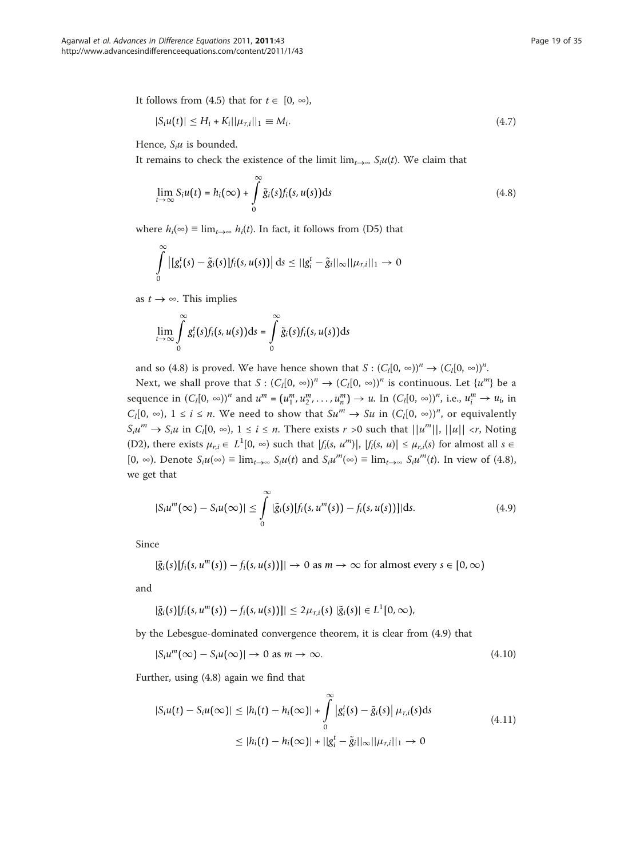It follows from (4.5) that for  $t \in [0, \infty)$ ,

$$
|S_i u(t)| \le H_i + K_i ||\mu_{r,i}||_1 \equiv M_i. \tag{4.7}
$$

Hence,  $S_i u$  is bounded.

It remains to check the existence of the limit  $\lim_{t\to\infty} S_iu(t)$ . We claim that

$$
\lim_{t \to \infty} S_i u(t) = h_i(\infty) + \int_0^{\infty} \tilde{g}_i(s) f_i(s, u(s)) \, ds \tag{4.8}
$$

where  $h_i(\infty) \equiv \lim_{t \to \infty} h_i(t)$ . In fact, it follows from (D5) that

$$
\int_{0}^{\infty} \left| \left[g_i^t(s) - \tilde{g}_i(s)\right] f_i(s, u(s))\right| ds \leq ||g_i^t - \tilde{g}_i||_{\infty} ||\mu_{r,i}||_1 \to 0
$$

as  $t \to \infty$ . This implies

$$
\lim_{t\to\infty}\int\limits_0^\infty g_i^t(s)f_i(s,u(s))\mathrm{d} s=\int\limits_0^\infty \tilde g_i(s)f_i(s,u(s))\mathrm{d} s
$$

and so (4.8) is proved. We have hence shown that  $S : (C_l[0, \infty))^n \to (C_l[0, \infty))^n$ .

Next, we shall prove that  $S: (C_l[0, \infty))^n \to (C_l[0, \infty))^n$  is continuous. Let  $\{u^m\}$  be a sequence in  $(C_l[0, \infty))^n$  and  $u^m = (u_1^m, u_2^m, \dots, u_n^m) \to u$ . In  $(C_l[0, \infty))^n$ , i.e.,  $u_i^m \to u_i$ , in  $C_l[0, \infty)$ ,  $1 \le i \le n$ . We need to show that  $Su^m \to Su$  in  $(C_l[0, \infty))^n$ , or equivalently  $S_i u^m \to S_i u$  in  $C_i[0, \infty)$ ,  $1 \le i \le n$ . There exists  $r > 0$  such that  $||u^m||, ||u|| < r$ , Noting (D2), there exists  $\mu_{r,i} \in L^1[0, \infty)$  such that  $|f_i(s, u^m)|, |f_i(s, u)| \le \mu_{r,i}(s)$  for almost all  $s \in [0, \infty)$ .  $[0, \infty)$ . Denote  $S_iu(\infty) \equiv \lim_{t\to\infty} S_iu(t)$  and  $S_iu^m(\infty) \equiv \lim_{t\to\infty} S_iu^m(t)$ . In view of (4.8), we get that

$$
|S_i u^m(\infty) - S_i u(\infty)| \leq \int\limits_0^\infty |\tilde{g}_i(s)[f_i(s, u^m(s)) - f_i(s, u(s))]|ds. \tag{4.9}
$$

Since

$$
|\tilde{g}_i(s)[f_i(s, u^m(s)) - f_i(s, u(s))]| \to 0 \text{ as } m \to \infty \text{ for almost every } s \in [0, \infty)
$$

and

$$
|\tilde{g}_i(s)[f_i(s,u^m(s))-f_i(s,u(s))]| \leq 2\mu_{r,i}(s) |\tilde{g}_i(s)| \in L^1[0,\infty),
$$

by the Lebesgue-dominated convergence theorem, it is clear from (4.9) that

$$
|S_i u^m(\infty) - S_i u(\infty)| \to 0 \text{ as } m \to \infty. \tag{4.10}
$$

Further, using (4.8) again we find that

$$
|S_i u(t) - S_i u(\infty)| \le |h_i(t) - h_i(\infty)| + \int_0^{\infty} |g_i^t(s) - \tilde{g}_i(s)| \mu_{r,i}(s) ds
$$
  
\n
$$
\le |h_i(t) - h_i(\infty)| + ||g_i^t - \tilde{g}_i||_{\infty} ||\mu_{r,i}||_1 \to 0
$$
\n(4.11)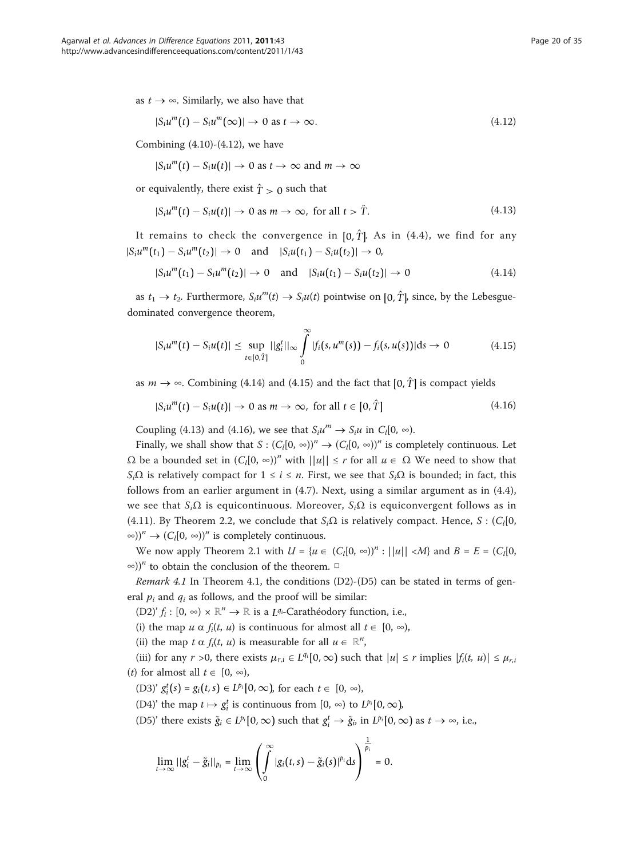as  $t \rightarrow \infty$ . Similarly, we also have that

$$
|S_i u^m(t) - S_i u^m(\infty)| \to 0 \text{ as } t \to \infty. \tag{4.12}
$$

Combining  $(4.10)-(4.12)$ , we have

 $|S_i u^m(t) - S_i u(t)| \rightarrow 0$  as  $t \rightarrow \infty$  and  $m \rightarrow \infty$ 

or equivalently, there exist  $\hat{T} > 0$  such that

$$
|S_i u^m(t) - S_i u(t)| \to 0 \text{ as } m \to \infty, \text{ for all } t > \hat{T}.
$$
 (4.13)

It remains to check the convergence in  $[0, \hat{T}]$ . As in (4.4), we find for any  $|S_i u^m(t_1) - S_i u^m(t_2)| \to 0$  and  $|S_i u(t_1) - S_i u(t_2)| \to 0$ ,

$$
|S_i u^m(t_1) - S_i u^m(t_2)| \to 0 \quad \text{and} \quad |S_i u(t_1) - S_i u(t_2)| \to 0 \tag{4.14}
$$

as  $t_1 \rightarrow t_2$ . Furthermore,  $S_i u^m(t) \rightarrow S_i u(t)$  pointwise on  $[0, \hat{T}]$ , since, by the Lebesguedominated convergence theorem,

$$
|S_i u^m(t) - S_i u(t)| \leq \sup_{t \in [0,\hat{T}]} ||g_i^t||_{\infty} \int_0^{\infty} |f_i(s, u^m(s)) - f_i(s, u(s))| ds \to 0
$$
 (4.15)

as  $m \to \infty$ . Combining (4.14) and (4.15) and the fact that [0,  $\hat{T}$ ] is compact yields

$$
|S_i u^m(t) - S_i u(t)| \to 0 \text{ as } m \to \infty, \text{ for all } t \in [0, \hat{T}]
$$
\n(4.16)

Coupling (4.13) and (4.16), we see that  $S_i u^m \to S_i u$  in  $C_i[0, \infty)$ .

Finally, we shall show that  $S: (C_l[0, \infty))^n \to (C_l[0, \infty))^n$  is completely continuous. Let  $\Omega$  be a bounded set in  $(C_1[0, \infty))^n$  with  $||u|| \leq r$  for all  $u \in \Omega$  We need to show that  $S_i\Omega$  is relatively compact for  $1 \le i \le n$ . First, we see that  $S_i\Omega$  is bounded; in fact, this follows from an earlier argument in (4.7). Next, using a similar argument as in (4.4), we see that  $S_i\Omega$  is equicontinuous. Moreover,  $S_i\Omega$  is equiconvergent follows as in (4.11). By Theorem 2.2, we conclude that  $S_i\Omega$  is relatively compact. Hence, S : (C<sub>l</sub>[0, ∞))<sup>*n*</sup> →  $(C_l[0, \infty))$ <sup>*n*</sup> is completely continuous.

We now apply Theorem 2.1 with  $U = {u \in (C_I[0, \infty))^n : ||u|| < M}$  and  $B = E = (C_I[0, \infty))^n$  $\infty$ )<sup>n</sup> to obtain the conclusion of the theorem. □

*Remark 4.1* In Theorem 4.1, the conditions (D2)-(D5) can be stated in terms of general  $p_i$  and  $q_i$  as follows, and the proof will be similar:

(D2)'  $f_i : [0, \infty) \times \mathbb{R}^n \to \mathbb{R}$  is a *L<sup>q<sub>i*-</sub>Carathéodory function, i.e.,</sup>

(i) the map  $u \alpha f_i(t, u)$  is continuous for almost all  $t \in [0, \infty)$ ,

(ii) the map  $t \alpha f_i(t, u)$  is measurable for all  $u \in \mathbb{R}^n$ ,  $\ldots$ ,  $\alpha f_i(t)$ 

(iii) for any  $r > 0$ , there exists  $\mu_{r,i} \in L^{q_i}[0,\infty)$  such that  $|u| \leq r$  implies  $|f_i(t, u)| \leq \mu_{r,i}$ (*t*) for almost all  $t \in [0, \infty)$ ,

(D3)'  $g_i^t(s) = g_i(t, s) \in L^{p_i}[0, \infty)$ , for each  $t \in [0, \infty)$ ,

(D4)' the map  $t \mapsto g_i^t$  is continuous from  $[0, \infty)$  to  $L^{p_i}[0, \infty)$ ,

(D5)' there exists  $\tilde{g}_i \in L^{p_i}[0, \infty)$  such that  $g_i^t \to \tilde{g}_i$ , in  $L^{p_i}[0, \infty)$  as  $t \to \infty$ , i.e.,

$$
\lim_{t\to\infty}||g_i^t-\tilde{g}_i||_{p_i}=\lim_{t\to\infty}\left(\int\limits_0^\infty|g_i(t,s)-\tilde{g}_i(s)|^{p_i}\mathrm{d} s\right)^{\frac{1}{p_i}}=0.
$$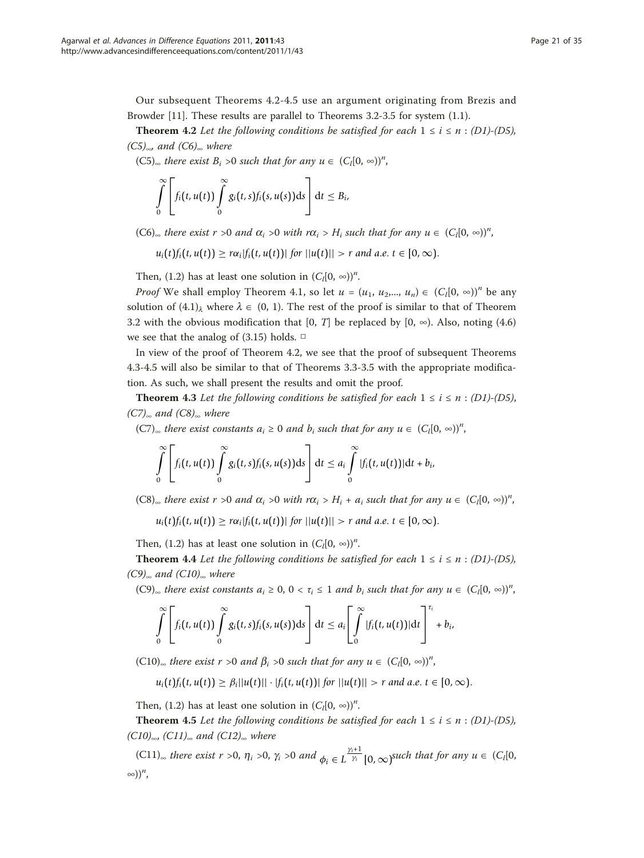Our subsequent Theorems 4.2-4.5 use an argument originating from Brezis and Browder [[11](#page-33-0)]. These results are parallel to Theorems 3.2-3.5 for system (1.1).

**Theorem 4.2** Let the following conditions be satisfied for each  $1 \le i \le n$ : (D1)-(D5),  $(C5)_{\infty}$  and  $(C6)_{\infty}$  where

 $(C5)_{\infty}$  there exist  $B_i > 0$  such that for any  $u \in (C_i[0, \infty))^n$ ,

$$
\int\limits_{0}^{\infty}\left[f_i(t,u(t))\int\limits_{0}^{\infty}g_i(t,s)f_i(s,u(s))\mathrm{d}s\right]\mathrm{d}t\leq B_i,
$$

 $(C6)_{\infty}$  there exist  $r > 0$  and  $\alpha_i > 0$  with  $r\alpha_i > H_i$  such that for any  $u \in (C_i[0, \infty))^n$ ,

 $u_i(t) f_i(t, u(t)) \geq r \alpha_i |f_i(t, u(t))|$  *for*  $||u(t)|| > r$  *and a.e.*  $t \in [0, \infty)$ .

Then, (1.2) has at least one solution in  $(C_l[0, \infty))^n$ .

*Proof* We shall employ Theorem 4.1, so let  $u = (u_1, u_2, ..., u_n) \in (C_i[0, \infty))^n$  be any solution of  $(4.1)$ <sub> $\lambda$ </sub> where  $\lambda \in (0, 1)$ . The rest of the proof is similar to that of Theorem 3.2 with the obvious modification that [0, T] be replaced by [0,  $\infty$ ). Also, noting (4.6) we see that the analog of  $(3.15)$  holds.  $\Box$ 

In view of the proof of Theorem 4.2, we see that the proof of subsequent Theorems 4.3-4.5 will also be similar to that of Theorems 3.3-3.5 with the appropriate modification. As such, we shall present the results and omit the proof.

**Theorem 4.3** Let the following conditions be satisfied for each  $1 \le i \le n$  : (D1)-(D5),  $(C7)_{\infty}$  and  $(C8)_{\infty}$  where

(C7)<sub>∞</sub> there exist constants  $a_i \ge 0$  and  $b_i$  such that for any  $u \in (C_l[0, \infty))^n$ ,

$$
\int\limits_{0}^{\infty}\left[f_i(t,u(t))\int\limits_{0}^{\infty}g_i(t,s)f_i(s,u(s))\mathrm{d} s\right]\mathrm{d} t\leq a_i\int\limits_{0}^{\infty}|f_i(t,u(t))|\mathrm{d} t+b_i,
$$

 $(C8)_{\infty}$  there exist  $r > 0$  and  $\alpha_i > 0$  with  $r\alpha_i > H_i + a_i$  such that for any  $u \in (C_i[0, \infty))^n$ ,

 $u_i(t) f_i(t, u(t)) \geq r \alpha_i |f_i(t, u(t))|$  *for*  $||u(t)|| > r$  *and a.e.*  $t \in [0, \infty)$ .

Then, (1.2) has at least one solution in  $(C_l[0, \infty))^n$ .

**Theorem 4.4** Let the following conditions be satisfied for each  $1 \le i \le n$  : (D1)-(D5),  $(C9)_{\infty}$  and  $(C10)_{\infty}$  where

 $(C9)_{\infty}$  there exist constants  $a_i \geq 0$ ,  $0 < \tau_i \leq 1$  and  $b_i$  such that for any  $u \in (C_i[0, \infty))^n$ ,

$$
\int\limits_{0}^{\infty}\left[f_i(t,u(t))\int\limits_{0}^{\infty}g_i(t,s)f_i(s,u(s))\mathrm{d}s\right]\mathrm{d}t\leq a_i\left[\int\limits_{0}^{\infty}|f_i(t,u(t))|\mathrm{d}t\right]^{t_i}+b_i,
$$

(C10)<sub>∞</sub> there exist  $r > 0$  and  $\beta_i > 0$  such that for any  $u \in (C_i[0, \infty))^n$ ,

*u*<sub>i</sub>(*t*)*f*<sub>i</sub>(*t*, *u*(*t*)) ≥  $\beta_i ||u(t)|| \cdot |f_i(t, u(t))|$  *for*  $||u(t)|| > r$  *and a.e. t* ∈ [0, ∞).

Then, (1.2) has at least one solution in  $(C_l[0, \infty))^n$ .

**Theorem 4.5** Let the following conditions be satisfied for each  $1 \le i \le n$  : (D1)-(D5), (C10)∞, (C11)∞ and (C12)∞ where

 $(C11)_{\infty}$  there exist  $r > 0$ ,  $\eta_i > 0$ ,  $\gamma_i > 0$  and  $\phi_i \in L^{\frac{\gamma_i+1}{\gamma_i}}$  $\frac{u}{\gamma_i}$  [0,  $\infty$ )<sup>such</sup> that for any  $u \in (C_l[0,$  $\infty)$ )<sup>n</sup>,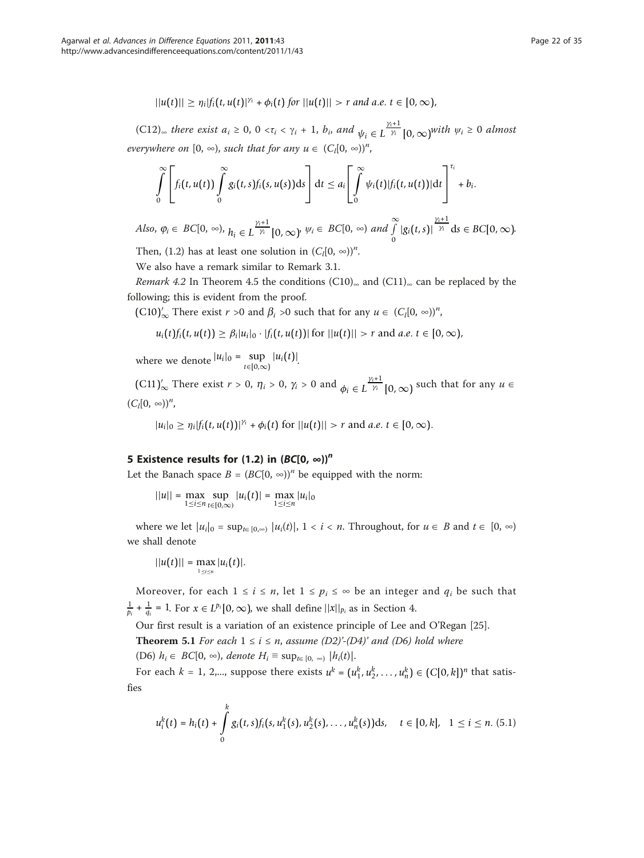$$
||u(t)|| \geq \eta_i |f_i(t, u(t)|^{\gamma_i} + \phi_i(t) \text{ for } ||u(t)|| > r \text{ and a.e. } t \in [0, \infty),
$$

(C12)<sub>∞</sub> there exist  $a_i \ge 0$ , 0 < $\tau_i$  <  $\gamma_i$  + 1,  $b_i$ , and  $\psi_i \in L^{\frac{\gamma_i+1}{\gamma_i}}$  $\frac{v_i+1}{\gamma_i}$  [0,  $\infty$ )<sup>*with*</sup>  $\psi_i \geq 0$  almost everywhere on  $[0, \infty)$ , such that for any  $u \in (C_l[0, \infty))^n$ ,

$$
\int\limits_{0}^{\infty}\left[ f_i(t,u(t))\int\limits_{0}^{\infty}g_i(t,s)f_i(s,u(s))\mathrm{d}s\right]\mathrm{d}t\leq a_i\Bigg[\int\limits_{0}^{\infty}\psi_i(t)|f_i(t,u(t))|\mathrm{d}t\Bigg]^{\tau_i}+b_i.
$$

Also,  $\varphi_i \in BC[0, \infty)$ ,  $h_i \in L^{\frac{\gamma_i+1}{\gamma_i}}$  $\frac{g_{i+1}}{\gamma_i}$  [0,  $\infty$ )<sup>,  $\psi_i \in BC[0, \infty)$  and  $\int_{0}^{\infty}$ </sup>  $\int\limits_{0}^{\infty} |g_i(t,s)|$ γ*i*+1  $\gamma_i$  d*s*  $\in BC[0, \infty)$ .

Then, (1.2) has at least one solution in  $(C_l[0, \infty))^n$ .

We also have a remark similar to Remark 3.1.

Remark 4.2 In Theorem 4.5 the conditions (C10)∞ and (C11)∞ can be replaced by the following; this is evident from the proof.

(C10)'<sub> $\infty$ </sub> There exist *r* >0 and  $\beta_i$  >0 such that for any  $u \in (C_i[0, \infty))^n$ ,

$$
u_i(t) f_i(t, u(t)) \geq \beta_i |u_i|_0 \cdot |f_i(t, u(t))| \text{ for } ||u(t)|| > r \text{ and } a.e. t \in [0, \infty),
$$

where we denote  $|u_i|_0 = \sup_{t \in [0,\infty)} |u_i(t)|$ .

 $(C11)'_{\infty}$  There exist  $r > 0$ ,  $\eta_i > 0$ ,  $\gamma_i > 0$  and  $\phi_i \in L^{\frac{\gamma_i+1}{\gamma_i}}[0,\infty)$  such that for any  $u \in$  $(C_l[0, \infty))^n$ ,

 $|u_i|_0 \ge \eta_i |f_i(t, u(t))|^{|\gamma_i|} + \phi_i(t) \text{ for } ||u(t)|| > r \text{ and } a.e. t \in [0, \infty).$ 

# 5 Existence results for (1.2) in  $(BC[0, \infty))^n$

Let the Banach space  $B = (BC[0, \infty))^n$  be equipped with the norm:

$$
||u|| = \max_{1 \leq i \leq n} \sup_{t \in [0,\infty)} |u_i(t)| = \max_{1 \leq i \leq n} |u_i|_0
$$

where we let  $|u_i|_0 = \sup_{t \in [0,\infty)} |u_i(t)|$ ,  $1 < i < n$ . Throughout, for  $u \in B$  and  $t \in [0,\infty)$ we shall denote

$$
||u(t)|| = \max_{1 \leq i \leq n} |u_i(t)|.
$$

Moreover, for each  $1 \le i \le n$ , let  $1 \le p_i \le \infty$  be an integer and  $q_i$  be such that  $\frac{1}{p_i} + \frac{1}{q_i} = 1$ . For  $x \in L^{p_i} [0, \infty)$ , we shall define  $||x||_{p_i}$  as in Section 4.

Our first result is a variation of an existence principle of Lee and O'Regan [[25\]](#page-34-0).

**Theorem 5.1** For each  $1 \le i \le n$ , assume  $(D2)'$ - $(D4)'$  and  $(D6)$  hold where (D6)  $h_i \in BC[0, \infty)$ , denote  $H_i \equiv \sup_{t \in [0, \infty)} |h_i(t)|$ .

For each  $k = 1, 2,...$ , suppose there exists  $u^k = (u_1^k, u_2^k, \dots, u_n^k) \in (C[0, k])^n$  that satisfies

$$
u_i^k(t) = h_i(t) + \int_0^k g_i(t,s) f_i(s, u_1^k(s), u_2^k(s), \dots, u_n^k(s)) \, ds, \quad t \in [0, k], \quad 1 \leq i \leq n. \tag{5.1}
$$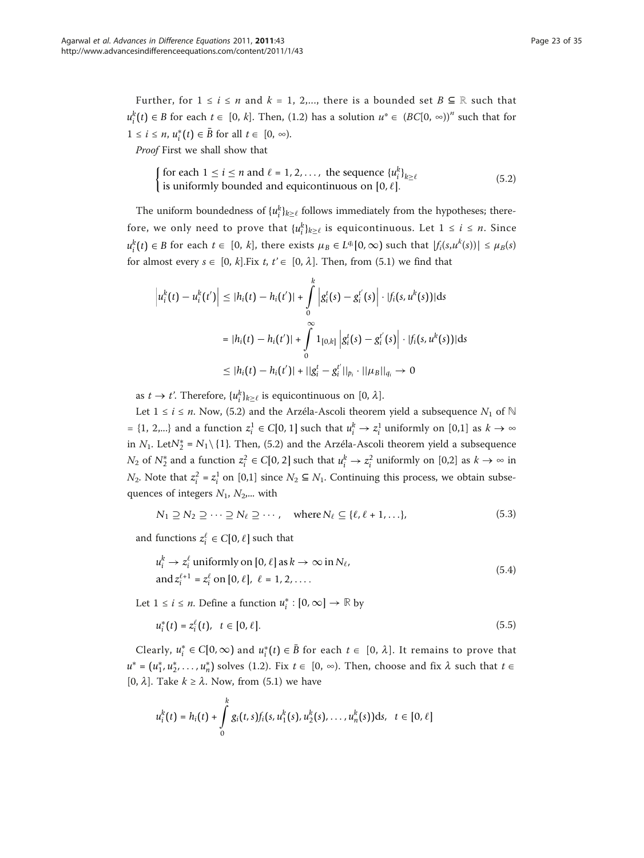Further, for  $1 \le i \le n$  and  $k = 1, 2,...$ , there is a bounded set  $B \subseteq \mathbb{R}$  such that  $u_i^k(t) \in B$  for each  $t \in [0, k]$ . Then, (1.2) has a solution  $u^* \in (BC[0, \infty))^n$  such that for  $1 \le i \le n$ ,  $u_i^*(t) \in \overline{B}$  for all  $t \in [0, \infty)$ .

Proof First we shall show that

$$
\begin{cases} \text{for each } 1 \le i \le n \text{ and } \ell = 1, 2, ..., \text{ the sequence } \{u_i^k\}_{k \ge \ell} \\ \text{is uniformly bounded and equicontinuous on } [0, \ell]. \end{cases} \tag{5.2}
$$

The uniform boundedness of  $\{u_i^k\}_{k\geq \ell}$  follows immediately from the hypotheses; therefore, we only need to prove that  $\{u_i^k\}_{k\geq \ell}$  is equicontinuous. Let  $1 \leq i \leq n$ . Since  $u_i^k(t) \in B$  for each  $t \in [0, k]$ , there exists  $\mu_B \in L^{q_i}[0, \infty)$  such that  $|f_i(s, u^k(s))| \leq \mu_B(s)$ for almost every  $s \in [0, k]$ .Fix  $t, t' \in [0, \lambda]$ . Then, from (5.1) we find that

$$
\left| u_i^k(t) - u_i^k(t') \right| \le |h_i(t) - h_i(t')| + \int_0^k \left| g_i^t(s) - g_i^{t'}(s) \right| \cdot |f_i(s, u^k(s))| ds
$$
  

$$
= |h_i(t) - h_i(t')| + \int_0^\infty 1_{[0,k]} \left| g_i^t(s) - g_i^{t'}(s) \right| \cdot |f_i(s, u^k(s))| ds
$$
  

$$
\le |h_i(t) - h_i(t')| + ||g_i^t - g_i^{t'}||_{p_i} \cdot ||\mu_B||_{q_i} \to 0
$$

as  $t \to t'$ . Therefore,  $\{u_i^k\}_{k \geq \ell}$  is equicontinuous on [0,  $\lambda$ ].

Let 1 ≤ *i* ≤ *n*. Now, (5.2) and the Arzéla-Ascoli theorem yield a subsequence  $N_1$  of  $\mathbb N$  $=$  {1, 2,...} and a function  $z_i^1$  ∈ *C*[0, 1] such that  $u_i^k \to z_i^1$  uniformly on [0,1] as  $k \to \infty$ in  $N_1$ . Let $N_2^* = N_1 \setminus \{1\}$ . Then, (5.2) and the Arzéla-Ascoli theorem yield a subsequence *N*<sub>2</sub> of *N*<sup>∗</sup><sub>2</sub> and a function  $z_i^2 \in C[0, 2]$  such that  $u_i^k \to z_i^2$  uniformly on [0,2] as  $k \to \infty$  in  $N_2$ . Note that  $z_i^2 = z_i^1$  on [0,1] since  $N_2$  ⊆  $N_1$ . Continuing this process, we obtain subsequences of integers  $N_1$ ,  $N_2$ ,... with

$$
N_1 \supseteq N_2 \supseteq \cdots \supseteq N_\ell \supseteq \cdots, \quad \text{where } N_\ell \subseteq \{\ell, \ell + 1, \ldots\},
$$
 (5.3)

and functions  $z_i^{\ell} \in C[0, \ell]$  such that

$$
u_i^k \to z_i^\ell \text{ uniformly on } [0, \ell] \text{ as } k \to \infty \text{ in } N_\ell,
$$
  
and 
$$
z_i^{\ell+1} = z_i^\ell \text{ on } [0, \ell], \ell = 1, 2, \dots
$$
 (5.4)

Let  $1 \le i \le n$ . Define a function  $u_i^* : [0, \infty] \to \mathbb{R}$  by

$$
u_i^*(t) = z_i^{\ell}(t), \quad t \in [0, \ell].
$$
\n(5.5)

*Clearly,*  $u_i^* \in C[0,\infty)$  and  $u_i^*(t) \in \overline{B}$  for each  $t \in [0,\lambda]$ . It remains to prove that  $u^* = (u_1^*, u_2^*, \dots, u_n^*)$  solves (1.2). Fix  $t \in [0, \infty)$ . Then, choose and fix  $\lambda$  such that  $t \in [0, 2]$ . Then [0,  $\lambda$ ]. Take  $k \geq \lambda$ . Now, from (5.1) we have

$$
u_i^k(t) = h_i(t) + \int_0^k g_i(t,s) f_i(s, u_1^k(s), u_2^k(s), \ldots, u_n^k(s)) ds, \quad t \in [0, \ell]
$$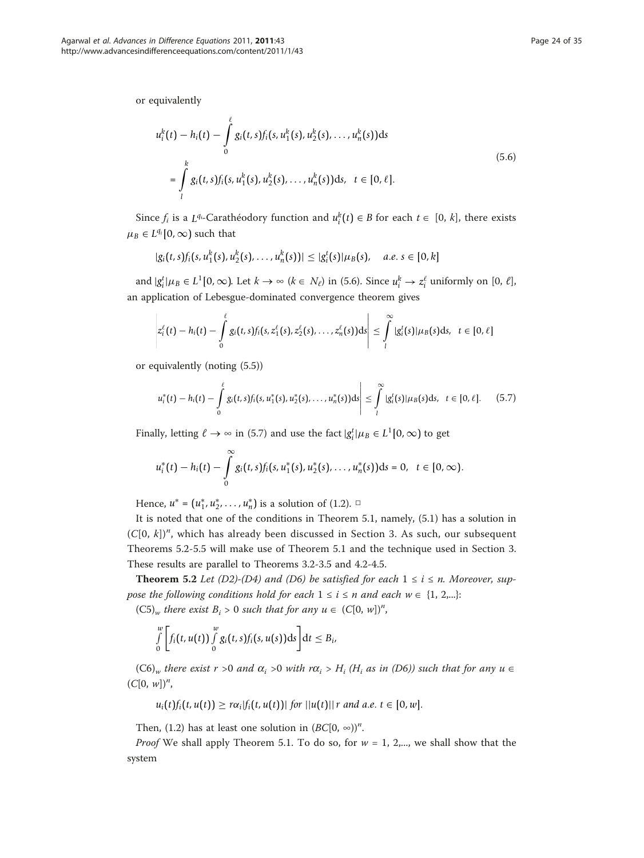or equivalently

$$
u_i^k(t) - h_i(t) - \int_0^{\ell} g_i(t,s) f_i(s, u_1^k(s), u_2^k(s), \dots, u_n^k(s)) ds
$$
  
= 
$$
\int_l^k g_i(t,s) f_i(s, u_1^k(s), u_2^k(s), \dots, u_n^k(s)) ds, t \in [0, \ell].
$$
 (5.6)

Since  $f_i$  is a *L*<sup>q<sub>i</sub>-Carathéodory function and  $u_i^k(t) \in B$  for each  $t \in [0, k]$ , there exists</sup>  $\mu_B \in L^{q_i}[0,\infty)$  such that

$$
|g_i(t,s)f_i(s,u_1^k(s),u_2^k(s),\ldots,u_n^k(s))| \leq |g_i^t(s)|\mu_B(s), \quad a.e. s \in [0,k]
$$

and  $|g_i^t| \mu_B \in L^1[0, \infty)$ . Let  $k \to \infty$  ( $k \in N_\ell$ ) in (5.6). Since  $u_i^k \to z_i^\ell$  uniformly on [0,  $\ell$ ], an application of Lebesgue-dominated convergence theorem gives

$$
\left|z_i^{\ell}(t)-h_i(t)-\int\limits_0^{\ell}g_i(t,s)f_i(s,z_1^{\ell}(s),z_2^{\ell}(s),\ldots,z_n^{\ell}(s))\mathrm{d}s\right|\leq \int\limits_l^{\infty}|g_i^t(s)|\mu_B(s)\mathrm{d}s,\ \ t\in[0,\ell]
$$

or equivalently (noting (5.5))

$$
\left|u_i^*(t) - h_i(t) - \int_0^{\ell} g_i(t,s) f_i(s,u_1^*(s),u_2^*(s),\ldots,u_n^*(s))ds\right| \leq \int_l^{\infty} |g_i^t(s)| \mu_B(s)ds, \quad t \in [0,\ell]. \tag{5.7}
$$

Finally, letting  $\ell \to \infty$  in (5.7) and use the fact  $|g_i^t| \mu_B \in L^1[0, \infty)$  to get

$$
u_i^*(t) - h_i(t) - \int_0^\infty g_i(t,s) f_i(s, u_1^*(s), u_2^*(s), \ldots, u_n^*(s)) ds = 0, \quad t \in [0, \infty).
$$

Hence,  $u^* = (u_1^*, u_2^*, \dots, u_n^*)$  is a solution of (1.2). □

It is noted that one of the conditions in Theorem 5.1, namely, (5.1) has a solution in  $(C[0, k])<sup>n</sup>$ , which has already been discussed in Section 3. As such, our subsequent Theorems 5.2-5.5 will make use of Theorem 5.1 and the technique used in Section 3. These results are parallel to Theorems 3.2-3.5 and 4.2-4.5.

**Theorem 5.2** Let (D2)-(D4) and (D6) be satisfied for each  $1 \le i \le n$ . Moreover, suppose the following conditions hold for each  $1 \le i \le n$  and each  $w \in \{1, 2,...\}$ :

 $(C5)_w$  there exist  $B_i > 0$  such that for any  $u \in (C[0, w])^n$ ,

$$
\int\limits_{0}^{w}\bigg[f_i(t,u(t))\int\limits_{0}^{w}g_i(t,s)f_i(s,u(s))\mathrm{d}s\bigg]\mathrm{d}t\leq B_i,
$$

 $(C6)_{w}$  there exist r >0 and  $\alpha_i$  >0 with  $r\alpha_i$  > H<sub>i</sub> (H<sub>i</sub> as in (D6)) such that for any  $u \in$  $(C[0, w])^n$ ,

 $u_i(t) f_i(t, u(t)) \geq r \alpha_i |f_i(t, u(t))|$  *for*  $||u(t)|| r$  *and a.e.*  $t \in [0, w]$ .

Then, (1.2) has at least one solution in  $(BC[0, \infty))^n$ .

*Proof* We shall apply Theorem 5.1. To do so, for  $w = 1$ , 2,..., we shall show that the system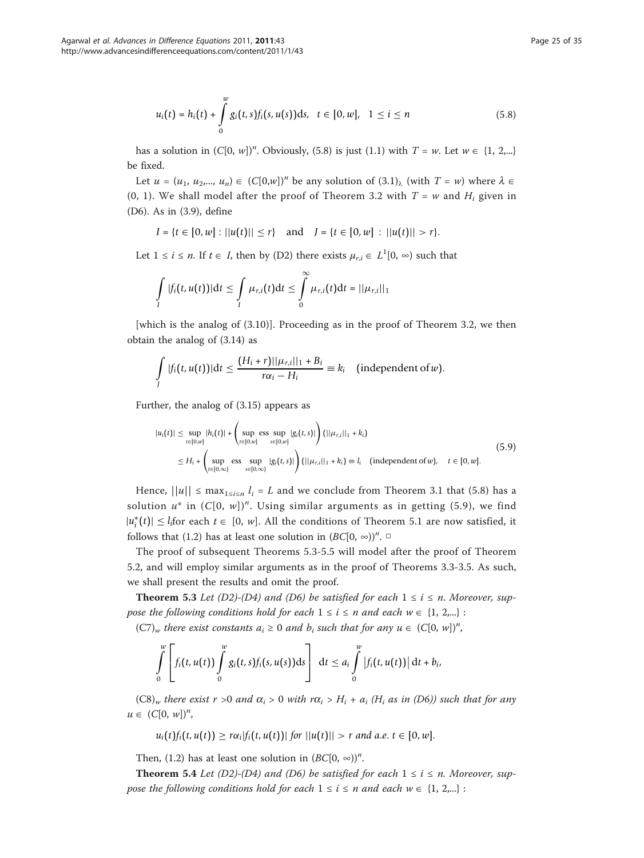$$
u_i(t) = h_i(t) + \int_0^w g_i(t, s) f_i(s, u(s)) \, ds, \quad t \in [0, w], \quad 1 \le i \le n \tag{5.8}
$$

has a solution in  $(C[0, w])^n$ . Obviously, (5.8) is just (1.1) with  $T = w$ . Let  $w \in \{1, 2,...\}$ be fixed.

Let  $u = (u_1, u_2,..., u_n) \in (C[0,w])^n$  be any solution of  $(3.1)_{\lambda}$  (with  $T = w$ ) where  $\lambda \in$ (0, 1). We shall model after the proof of Theorem 3.2 with  $T = w$  and  $H_i$  given in (D6). As in (3.9), define

$$
I = \{t \in [0, w] : ||u(t)|| \le r\} \text{ and } J = \{t \in [0, w] : ||u(t)|| > r\}.
$$

Let  $1 \le i \le n$ . If  $t \in I$ , then by (D2) there exists  $\mu_{r,i} \in L^1[0, \infty)$  such that

$$
\int\limits_I |f_i(t,u(t))|\mathrm{d} t\leq \int\limits_I \mu_{r,i}(t)\mathrm{d} t\leq \int\limits_0^\infty \mu_{r,i}(t)\mathrm{d} t=||\mu_{r,i}||_1
$$

[which is the analog of (3.10)]. Proceeding as in the proof of Theorem 3.2, we then obtain the analog of (3.14) as

$$
\int\limits_J |f_i(t,u(t))|\mathrm{d}t \leq \frac{(H_i+r)||\mu_{r,i}||_1+B_i}{r\alpha_i-H_i} \equiv k_i \quad \text{(independent of }w\text{)}.
$$

Further, the analog of (3.15) appears as

$$
|u_i(t)| \le \sup_{t \in [0,w]} |h_i(t)| + \left( \sup_{t \in [0,w]} \operatorname{ess} \sup_{s \in [0,w]} |g_i(t,s)| \right) (||\mu_{r,i}||_1 + k_i)
$$
  
\n
$$
\le H_i + \left( \sup_{t \in [0,\infty)} \operatorname{ess} \sup_{s \in [0,\infty)} |g_i(t,s)| \right) (||\mu_{r,i}||_1 + k_i) \equiv l_i \quad (\text{independent of } w), \quad t \in [0,w].
$$
\n(5.9)

Hence,  $||u|| \leq \max_{1 \leq i \leq n} l_i = L$  and we conclude from Theorem 3.1 that (5.8) has a solution  $u^*$  in  $(C[0, w])^n$ . Using similar arguments as in getting (5.9), we find  $|u_i^*(t)| \le l_i$  for each  $t \in [0, w]$ . All the conditions of Theorem 5.1 are now satisfied, it follows that (1.2) has at least one solution in  $(BC[0, \infty))^n$ .

The proof of subsequent Theorems 5.3-5.5 will model after the proof of Theorem 5.2, and will employ similar arguments as in the proof of Theorems 3.3-3.5. As such, we shall present the results and omit the proof.

**Theorem 5.3** Let (D2)-(D4) and (D6) be satisfied for each  $1 \le i \le n$ . Moreover, suppose the following conditions hold for each  $1 \le i \le n$  and each  $w \in \{1, 2,...\}$ :

 $(C7)_w$  there exist constants  $a_i \ge 0$  and  $b_i$  such that for any  $u \in (C[0, w])^n$ ,

$$
\int\limits_{0}^{w}\left[f_i(t,u(t))\int\limits_{0}^{w}g_i(t,s)f_i(s,u(s))\mathrm{d}s\right]\,\mathrm{d}t\leq a_i\int\limits_{0}^{w}\left|f_i(t,u(t))\right|\mathrm{d}t+b_i,
$$

 $(C8)_{w}$  there exist  $r > 0$  and  $\alpha_i > 0$  with  $r\alpha_i > H_i + a_i$  (H<sub>i</sub> as in (D6)) such that for any  $u \in (C[0, w])^n$ ,

$$
u_i(t) f_i(t, u(t)) \geq r \alpha_i |f_i(t, u(t))| \text{ for } ||u(t)|| > r \text{ and a.e. } t \in [0, w].
$$

Then, (1.2) has at least one solution in  $(BC[0, \infty))^n$ .

**Theorem 5.4** Let (D2)-(D4) and (D6) be satisfied for each  $1 \le i \le n$ . Moreover, suppose the following conditions hold for each  $1 \le i \le n$  and each  $w \in \{1, 2,...\}$ :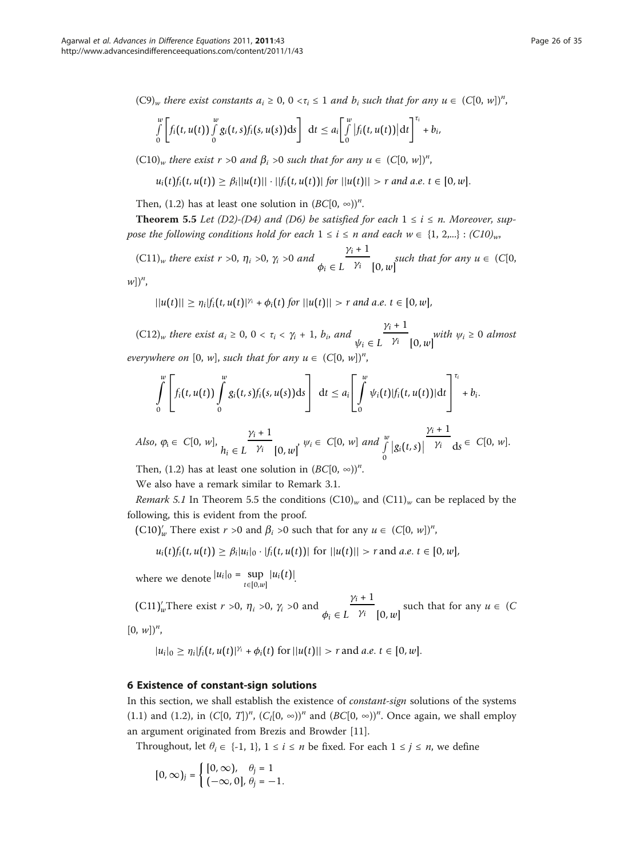$(C9)_w$  there exist constants  $a_i \geq 0$ ,  $0 < \tau_i \leq 1$  and  $b_i$  such that for any  $u \in (C[0, w])^n$ ,

$$
\int\limits_{0}^{w}\left[f_i(t,u(t))\int\limits_{0}^{w}g_i(t,s)f_i(s,u(s))\mathrm{d}s\right]\,\mathrm{d}t\leq a_i\bigg[\int\limits_{0}^{w}\left|f_i(t,u(t))\right|\mathrm{d}t\bigg]^{t_i}+b_i,
$$

 $(C10)<sub>w</sub>$  there exist  $r > 0$  and  $\beta_i > 0$  such that for any  $u \in (C[0, w])<sup>n</sup>$ ,

$$
u_i(t) f_i(t, u(t)) \geq \beta_i ||u(t)|| \cdot ||f_i(t, u(t))|| \text{ for } ||u(t)|| > r \text{ and a.e. } t \in [0, w].
$$

Then, (1.2) has at least one solution in  $(BC[0, \infty))^n$ .

**Theorem 5.5** Let (D2)-(D4) and (D6) be satisfied for each  $1 \le i \le n$ . Moreover, suppose the following conditions hold for each  $1 \le i \le n$  and each  $w \in \{1, 2,...\} : (C10)_{w}$ ,

 $(C11)<sub>w</sub>$  there exist  $r > 0$ ,  $\eta_i > 0$ ,  $\gamma_i > 0$  and  $\phi_i \in L$  $\gamma_i + 1$  $\overline{\gamma_i}$  [0, w] such that for any  $u \in (C[0, \mathcal{V})$ 

 $w$ ])<sup>n</sup>,

$$
||u(t)|| \geq \eta_i |f_i(t, u(t)|^{\gamma_i} + \phi_i(t) \text{ for } ||u(t)|| > r \text{ and a.e. } t \in [0, w],
$$

 $(C12)_w$  there exist  $a_i \geq 0$ ,  $0 < \tau_i < \gamma_i + 1$ ,  $b_i$ , and  $\psi_i \in L$  $\gamma_i + 1$  $\overline{\gamma_i}$  [0, w]<sup>with</sup>  $\psi_i \geq 0$  almost everywhere on  $[0, w]$ , such that for any  $u \in (C[0, w])^n$ ,

$$
\int_{0}^{w} \left[ f_i(t, u(t)) \int_{0}^{w} g_i(t, s) f_i(s, u(s)) \, ds \right] dt \leq a_i \left[ \int_{0}^{w} \psi_i(t) |f_i(t, u(t))| \, dt \right]^{t_i} + b_i.
$$
\n
$$
\gamma_i + 1
$$

Also,  $\varphi_i \in C[0, w],$   $h_i \in L$  $\gamma_i + 1$  $\frac{V_i}{\gamma_i}$  [0, w]<sup>,  $\psi_i \in C[0, w]$  and  $\int_a^w$ </sup> 0  $|g_i(t,s)|$  $\gamma_i$  d*s*  $\in$  C[0, *w*].

Then, (1.2) has at least one solution in  $(BC[0, \infty))^n$ .

We also have a remark similar to Remark 3.1.

*Remark 5.1* In Theorem 5.5 the conditions  $(C10)<sub>w</sub>$  and  $(C11)<sub>w</sub>$  can be replaced by the following, this is evident from the proof.

(C10)<sup>'</sup><sub>*w*</sub> There exist *r* >0 and  $\beta_i$  >0 such that for any  $u \in (C[0, w])^n$ ,

 $u_i(t) f_i(t, u(t)) \geq \beta_i |u_i|_0 \cdot |f_i(t, u(t))|$  for  $||u(t)|| > r$  and *a.e.*  $t \in [0, w]$ ,

where we denote  $|u_i|_0 = \sup_{t \in [0,w]} |u_i(t)|$ .

(C11)<sup>'</sup><sub>*w*</sub>There exist *r* >0,  $\eta_i$  >0,  $\gamma_i$  >0 and  $\phi_i \in L$  $\gamma_i + 1$  $\overline{\gamma_i}$  [0, *w*] such that for any  $u \in (C)$  $[0, w])^n$ ,

$$
|u_i|_0 \geq \eta_i |f_i(t, u(t)|^{\gamma_i} + \phi_i(t) \text{ for } ||u(t)|| > r \text{ and } a.e. t \in [0, w].
$$

# 6 Existence of constant-sign solutions

In this section, we shall establish the existence of constant-sign solutions of the systems (1.1) and (1.2), in  $(C[0, T])^n$ ,  $(C_l[0, \infty))^n$  and  $(BC[0, \infty))^n$ . Once again, we shall employ an argument originated from Brezis and Browder [\[11\]](#page-33-0).

Throughout, let  $\theta_i \in \{-1, 1\}$ ,  $1 \le i \le n$  be fixed. For each  $1 \le j \le n$ , we define

$$
[0,\infty)_j=\begin{cases} [0,\infty), & \theta_j=1\\ (-\infty,0],\, \theta_j=-1. \end{cases}
$$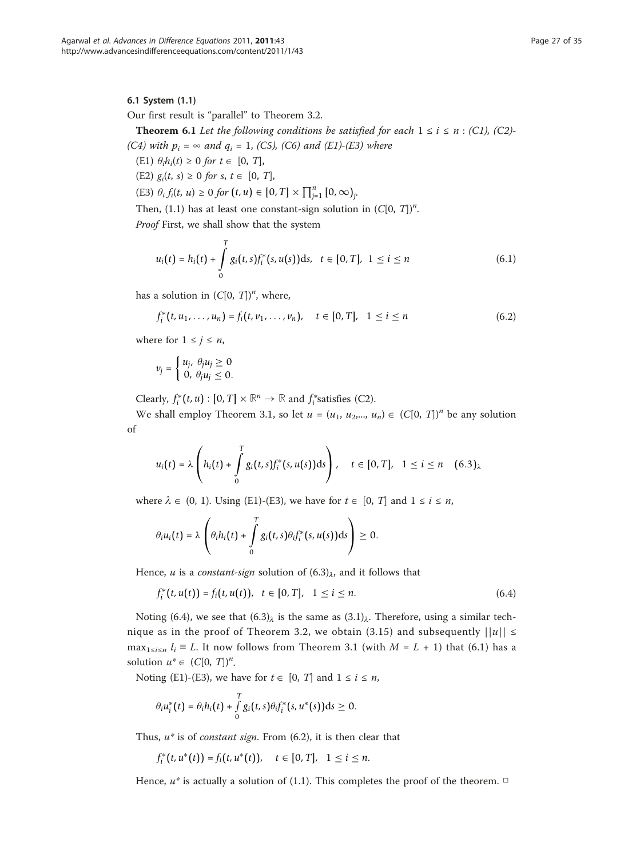Our first result is "parallel" to Theorem 3.2.

**Theorem 6.1** Let the following conditions be satisfied for each  $1 \le i \le n$ : (C1), (C2)-(C4) with  $p_i = \infty$  and  $q_i = 1$ , (C5), (C6) and (E1)-(E3) where

- (E1)  $\theta_i h_i(t) \geq 0$  for  $t \in [0, T]$ ,
- (E2)  $g_i(t, s) \ge 0$  for  $s, t \in [0, T]$ ,
- (E3)  $\theta_i f_i(t, u) \ge 0$  for  $(t, u) \in [0, T] \times \prod_{j=1}^{n} [0, \infty)_j$ .

Then, (1.1) has at least one constant-sign solution in  $(C[0, T])<sup>n</sup>$ .

Proof First, we shall show that the system

$$
u_i(t) = h_i(t) + \int_0^T g_i(t, s) f_i^*(s, u(s)) \, ds, \quad t \in [0, T], \quad 1 \leq i \leq n \tag{6.1}
$$

has a solution in  $(C[0, T])^n$ , where,

$$
f_i^*(t, u_1, \dots, u_n) = f_i(t, v_1, \dots, v_n), \quad t \in [0, T], \quad 1 \le i \le n
$$
 (6.2)

where for  $1 \leq j \leq n$ ,

$$
v_j = \begin{cases} u_j, & \theta_j u_j \geq 0 \\ 0, & \theta_j u_j \leq 0. \end{cases}
$$

Clearly,  $f_i^*(t, u) : [0, T] \times \mathbb{R}^n \to \mathbb{R}$  and  $f_i^*$  satisfies (C2).

We shall employ Theorem 3.1, so let  $u = (u_1, u_2, ..., u_n) \in (C[0, T])^n$  be any solution of

$$
u_i(t) = \lambda \left( h_i(t) + \int\limits_0^T g_i(t,s) f_i^*(s,u(s)) \, ds \right), \quad t \in [0,T], \quad 1 \leq i \leq n \quad (6.3)_\lambda
$$

where  $\lambda \in (0, 1)$ . Using (E1)-(E3), we have for  $t \in [0, T]$  and  $1 \le i \le n$ ,

$$
\theta_i u_i(t) = \lambda \left( \theta_i h_i(t) + \int_0^T g_i(t,s) \theta_i f_i^*(s,u(s)) ds \right) \geq 0.
$$

Hence, *u* is a *constant-sign* solution of  $(6.3)_{\lambda}$ , and it follows that

$$
f_i^*(t, u(t)) = f_i(t, u(t)), \quad t \in [0, T], \quad 1 \le i \le n. \tag{6.4}
$$

Noting (6.4), we see that  $(6.3)$ <sub> $\lambda$ </sub> is the same as  $(3.1)$ <sub> $\lambda$ </sub>. Therefore, using a similar technique as in the proof of Theorem 3.2, we obtain (3.15) and subsequently  $||u|| \le$ max<sub>1≤i≤n</sub>  $l_i \equiv L$ . It now follows from Theorem 3.1 (with  $M = L + 1$ ) that (6.1) has a solution  $u^* \in (C[0, T])^n$ .

Noting (E1)-(E3), we have for  $t \in [0, T]$  and  $1 \le i \le n$ ,

$$
\theta_i u_i^*(t) = \theta_i h_i(t) + \int\limits_0^T g_i(t,s) \theta_i f_i^*(s,u^*(s)) ds \geq 0.
$$

Thus,  $u^*$  is of *constant sign*. From  $(6.2)$ , it is then clear that

$$
f_i^*(t, u^*(t)) = f_i(t, u^*(t)), \quad t \in [0, T], \quad 1 \leq i \leq n.
$$

Hence,  $u^*$  is actually a solution of (1.1). This completes the proof of the theorem.  $\Box$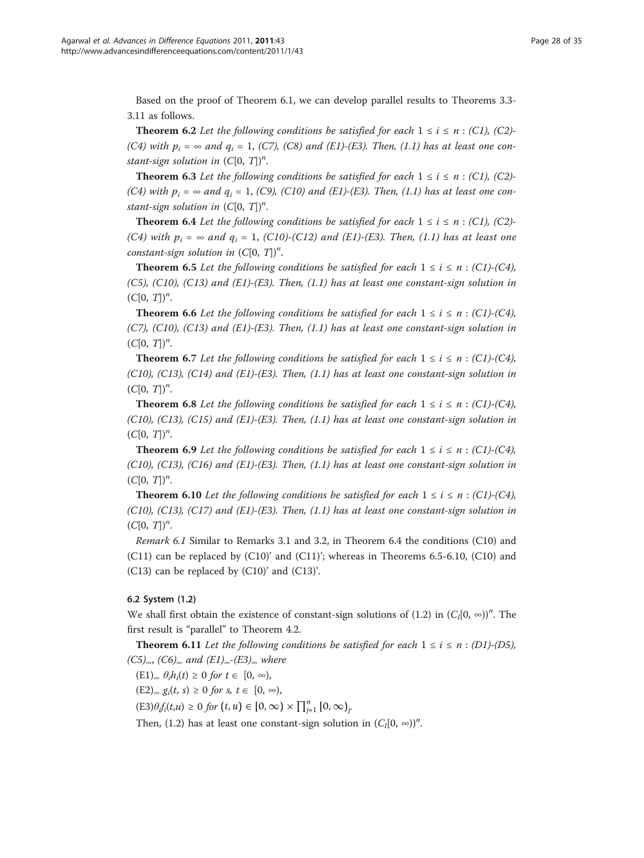Based on the proof of Theorem 6.1, we can develop parallel results to Theorems 3.3- 3.11 as follows.

**Theorem 6.2** Let the following conditions be satisfied for each  $1 \le i \le n$  : (C1), (C2)-(C4) with  $p_i = \infty$  and  $q_i = 1$ , (C7), (C8) and (E1)-(E3). Then, (1.1) has at least one constant-sign solution in  $(C[0, T])^n$ .

**Theorem 6.3** Let the following conditions be satisfied for each  $1 \le i \le n$  : (C1), (C2)-(C4) with  $p_i = \infty$  and  $q_i = 1$ , (C9), (C10) and (E1)-(E3). Then, (1.1) has at least one constant-sign solution in  $(C[0, T])^n$ .

**Theorem 6.4** Let the following conditions be satisfied for each  $1 \le i \le n$  : (C1), (C2)-(C4) with  $p_i = \infty$  and  $q_i = 1$ , (C10)-(C12) and (E1)-(E3). Then, (1.1) has at least one constant-sign solution in  $(C[0, T])^n$ .

**Theorem 6.5** Let the following conditions be satisfied for each  $1 \le i \le n$ : (C1)-(C4),  $(C5)$ ,  $(C10)$ ,  $(C13)$  and  $(E1)$ - $(E3)$ . Then,  $(1.1)$  has at least one constant-sign solution in  $(C[0, T])^n$ .

**Theorem 6.6** Let the following conditions be satisfied for each  $1 \le i \le n$ : (C1)-(C4), (C7), (C10), (C13) and (E1)-(E3). Then,  $(1.1)$  has at least one constant-sign solution in  $(C[0, T])^n$ .

**Theorem 6.7** Let the following conditions be satisfied for each  $1 \le i \le n$  : (C1)-(C4),  $(C10)$ ,  $(C13)$ ,  $(C14)$  and  $(E1)$ - $(E3)$ . Then,  $(1.1)$  has at least one constant-sign solution in  $(C[0, T])^n$ .

**Theorem 6.8** Let the following conditions be satisfied for each  $1 \le i \le n$ : (C1)-(C4),  $(C10)$ ,  $(C13)$ ,  $(C15)$  and  $(E1)$ - $(E3)$ . Then,  $(1.1)$  has at least one constant-sign solution in  $(C[0, T])^n$ .

**Theorem 6.9** Let the following conditions be satisfied for each  $1 \le i \le n$  : (C1)-(C4),  $(C10)$ ,  $(C13)$ ,  $(C16)$  and  $(E1)$ - $(E3)$ . Then,  $(1.1)$  has at least one constant-sign solution in  $(C[0, T])^n$ .

**Theorem 6.10** Let the following conditions be satisfied for each  $1 \le i \le n$  : (C1)-(C4),  $(C10)$ ,  $(C13)$ ,  $(C17)$  and  $(E1)$ - $(E3)$ . Then,  $(1.1)$  has at least one constant-sign solution in  $(C[0, T])^n$ .

Remark 6.1 Similar to Remarks 3.1 and 3.2, in Theorem 6.4 the conditions (C10) and  $(C11)$  can be replaced by  $(C10)'$  and  $(C11)'$ ; whereas in Theorems 6.5-6.10,  $(C10)$  and (C13) can be replaced by (C10)' and (C13)'.

### 6.2 System (1.2)

We shall first obtain the existence of constant-sign solutions of (1.2) in  $(C_l[0, \infty))^n$ . The first result is "parallel" to Theorem 4.2.

**Theorem 6.11** Let the following conditions be satisfied for each  $1 \le i \le n$  : (D1)-(D5),  $(C5)_{\infty}$ ,  $(C6)_{\infty}$  and  $(E1)_{\infty}$ - $(E3)_{\infty}$  where

 $(E1)_{\infty} \theta_i h_i(t) \geq 0$  for  $t \in [0, \infty)$ ,

 $(E2)_{\infty}$   $g_i(t, s) \ge 0$  for  $s, t \in [0, \infty)$ ,

 $(E3)\theta_{if}(t,u) \ge 0$  for  $(t, u) \in [0, \infty) \times \prod_{j=1}^{n} [0, \infty)_{j}$ 

Then, (1.2) has at least one constant-sign solution in  $(C_l[0, \infty))^n$ .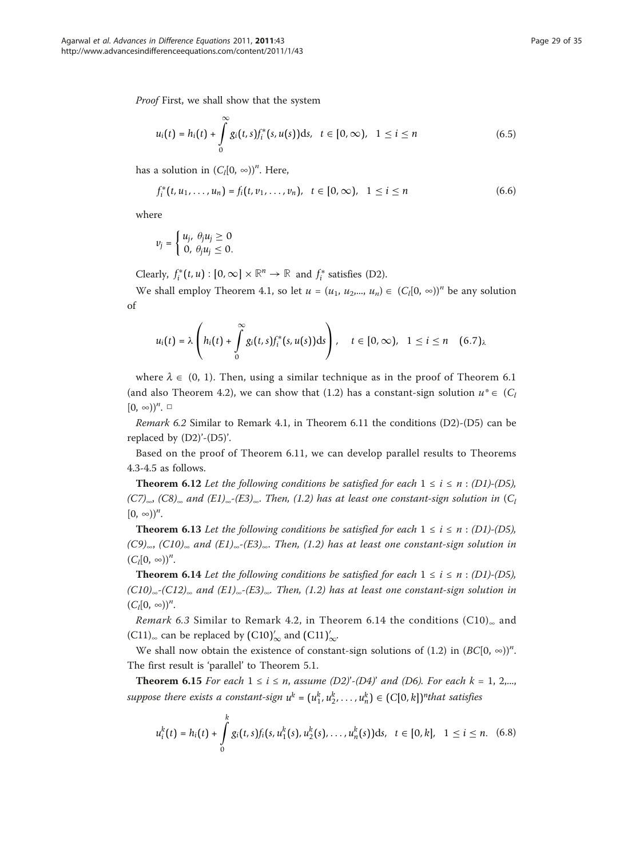Proof First, we shall show that the system

$$
u_i(t) = h_i(t) + \int_0^\infty g_i(t, s) f_i^*(s, u(s)) \, ds, \quad t \in [0, \infty), \quad 1 \leq i \leq n \tag{6.5}
$$

has a solution in  $(C_l[0, \infty))^n$ . Here,

$$
f_i^*(t, u_1, \ldots, u_n) = f_i(t, v_1, \ldots, v_n), \quad t \in [0, \infty), \quad 1 \leq i \leq n
$$
 (6.6)

where

$$
v_j = \begin{cases} u_j, & \theta_j u_j \geq 0 \\ 0, & \theta_j u_j \leq 0. \end{cases}
$$

Clearly,  $f_i^*(t, u) : [0, \infty] \times \mathbb{R}^n \to \mathbb{R}$  and  $f_i^*$  satisfies (D2).

We shall employ Theorem 4.1, so let  $u = (u_1, u_2, ..., u_n) \in (C_i[0, \infty))^n$  be any solution of

$$
u_i(t) = \lambda \left( h_i(t) + \int\limits_0^\infty g_i(t,s) f_i^*(s,u(s)) \, ds \right), \quad t \in [0,\infty), \quad 1 \leq i \leq n \quad (6.7)_\lambda
$$

where  $\lambda \in (0, 1)$ . Then, using a similar technique as in the proof of Theorem 6.1 (and also Theorem 4.2), we can show that (1.2) has a constant-sign solution  $u^* \in (C_l)$  $[0, \infty)$ <sup>n</sup>.  $\Box$ 

Remark 6.2 Similar to Remark 4.1, in Theorem 6.11 the conditions (D2)-(D5) can be replaced by (D2)'-(D5)'.

Based on the proof of Theorem 6.11, we can develop parallel results to Theorems 4.3-4.5 as follows.

**Theorem 6.12** Let the following conditions be satisfied for each  $1 \le i \le n$  : (D1)-(D5),  $(C7)_{\infty}$ ,  $(C8)_{\infty}$  and  $(E1)_{\infty}$ - $(E3)_{\infty}$ . Then,  $(1.2)$  has at least one constant-sign solution in  $(C_1)$  $[0, \infty)$ <sup>n</sup>.

**Theorem 6.13** Let the following conditions be satisfied for each  $1 \le i \le n$  : (D1)-(D5),  $(C9)_{\infty}$ ,  $(C10)_{\infty}$  and  $(E1)_{\infty}$ - $(E3)_{\infty}$ . Then, (1.2) has at least one constant-sign solution in  $(C_l[0, \infty))^n$ .

**Theorem 6.14** Let the following conditions be satisfied for each  $1 \le i \le n$  : (D1)-(D5),  $(C10)_{\infty}$ - $(C12)_{\infty}$  and  $(E1)_{\infty}$ - $(E3)_{\infty}$ . Then,  $(1.2)$  has at least one constant-sign solution in  $(C_l[0, \infty))^n$ .

Remark 6.3 Similar to Remark 4.2, in Theorem 6.14 the conditions  $(C10)_{\infty}$  and (C11)<sub>∞</sub> can be replaced by  $(\text{C10})'_{\infty}$  and  $(\text{C11})'_{\infty}$ .

We shall now obtain the existence of constant-sign solutions of (1.2) in  $(BC[0, \infty))^n$ . The first result is 'parallel' to Theorem 5.1.

**Theorem 6.15** For each  $1 \le i \le n$ , assume  $(D2)'-(D4)'$  and  $(D6)$ . For each  $k = 1, 2,...,$ suppose there exists a constant-sign  $u^k = (u_1^k, u_2^k, \dots, u_n^k) \in (C[0, k])^n$  that satisfies

$$
u_i^k(t) = h_i(t) + \int_0^k g_i(t,s) f_i(s, u_1^k(s), u_2^k(s), \dots, u_n^k(s)) \, ds, \quad t \in [0, k], \quad 1 \leq i \leq n. \tag{6.8}
$$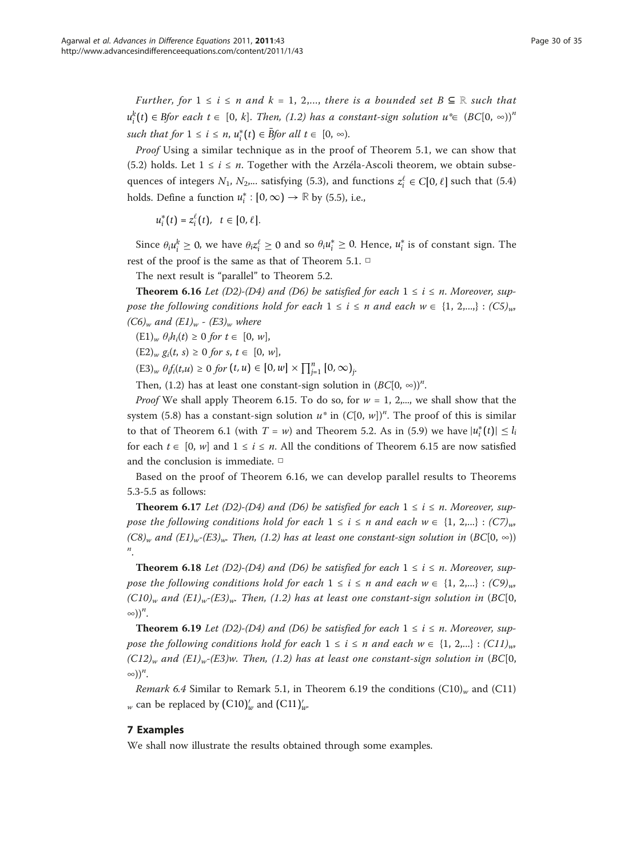Further, for  $1 \le i \le n$  and  $k = 1, 2,...$ , there is a bounded set  $B \subseteq \mathbb{R}$  such that  $u_i^k(t) \in B$ for each  $t \in [0, k]$ . Then, (1.2) has a constant-sign solution  $u^* \in (BC[0, \infty))^n$  $such that for 1 \leq i \leq n, u_i^*(t) \in \overline{B}$  *for all*  $t \in [0, \infty)$ .

Proof Using a similar technique as in the proof of Theorem 5.1, we can show that (5.2) holds. Let  $1 \le i \le n$ . Together with the Arzéla-Ascoli theorem, we obtain subsequences of integers  $N_1$ ,  $N_2$ ,... satisfying (5.3), and functions  $z_i^{\ell} \in C[0, \ell]$  such that (5.4) holds. Define a function  $u_i^*: [0, \infty) \to \mathbb{R}$  by (5.5), i.e.,

 $u_i^*(t) = z_i^{\ell}(t), \quad t \in [0, \ell].$ 

Since  $\theta_i u_i^k \geq 0$ , we have  $\theta_i z_i^{\ell} \geq 0$  and so  $\theta_i u_i^* \geq 0$ . Hence,  $u_i^*$  is of constant sign. The rest of the proof is the same as that of Theorem 5.1. □

The next result is "parallel" to Theorem 5.2.

**Theorem 6.16** Let (D2)-(D4) and (D6) be satisfied for each  $1 \le i \le n$ . Moreover, suppose the following conditions hold for each  $1 \le i \le n$  and each  $w \in \{1, 2, ...\}$ :  $(C5)_{w}$ ,  $(C6)_w$  and  $(E1)_w$  -  $(E3)_w$  where

 $(E1)<sub>w</sub> \theta_i h_i(t) \ge 0$  for  $t \in [0, w]$ ,

 $(E2)_w g_i(t, s) \ge 0$  for  $s, t \in [0, w],$ 

 $(E3)_{w}$   $\theta_{if}(t,u) \ge 0$  for  $(t, u) \in [0, w] \times \prod_{j=1}^{n} [0, \infty)_{j}$ .

Then, (1.2) has at least one constant-sign solution in  $(BC[0, \infty))^n$ .

*Proof* We shall apply Theorem 6.15. To do so, for  $w = 1$ , 2,..., we shall show that the system (5.8) has a constant-sign solution  $u^*$  in  $(C[0, w])^n$ . The proof of this is similar to that of Theorem 6.1 (with  $T = w$ ) and Theorem 5.2. As in (5.9) we have  $|u_i^*(t)| \leq l_i$ for each  $t \in [0, w]$  and  $1 \le i \le n$ . All the conditions of Theorem 6.15 are now satisfied and the conclusion is immediate. □

Based on the proof of Theorem 6.16, we can develop parallel results to Theorems 5.3-5.5 as follows:

**Theorem 6.17** Let (D2)-(D4) and (D6) be satisfied for each  $1 \le i \le n$ . Moreover, suppose the following conditions hold for each  $1 \le i \le n$  and each  $w \in \{1, 2,...\} : (C7)_{w}$  $(C8)_{w}$  and  $(E1)_{w}$ - $(E3)_{w}$ . Then, (1.2) has at least one constant-sign solution in  $(BC[0, \infty))$ n .

**Theorem 6.18** Let (D2)-(D4) and (D6) be satisfied for each  $1 \le i \le n$ . Moreover, suppose the following conditions hold for each  $1 \le i \le n$  and each  $w \in \{1, 2,...\} : (C9)_{w}$  $(C10)_{w}$  and  $(E1)_{w}$ - $(E3)_{w}$ . Then, (1.2) has at least one constant-sign solution in (BC[0,  $\infty)$ )<sup>n</sup>.

**Theorem 6.19** Let (D2)-(D4) and (D6) be satisfied for each  $1 \le i \le n$ . Moreover, suppose the following conditions hold for each  $1 \le i \le n$  and each  $w \in \{1, 2,...\}$ : (C11)<sub>w</sub>,  $(C12)_w$  and  $(E1)_w$ - $(E3)w$ . Then, (1.2) has at least one constant-sign solution in (BC[0,  $\infty$ ))<sup>n</sup>.

*Remark 6.4* Similar to Remark 5.1, in Theorem 6.19 the conditions  $(C10)_w$  and  $(C11)$  $_{w}$  can be replaced by (C10) $_{w}^{\prime}$  and (C11) $_{w}^{\prime}$ .

### 7 Examples

We shall now illustrate the results obtained through some examples.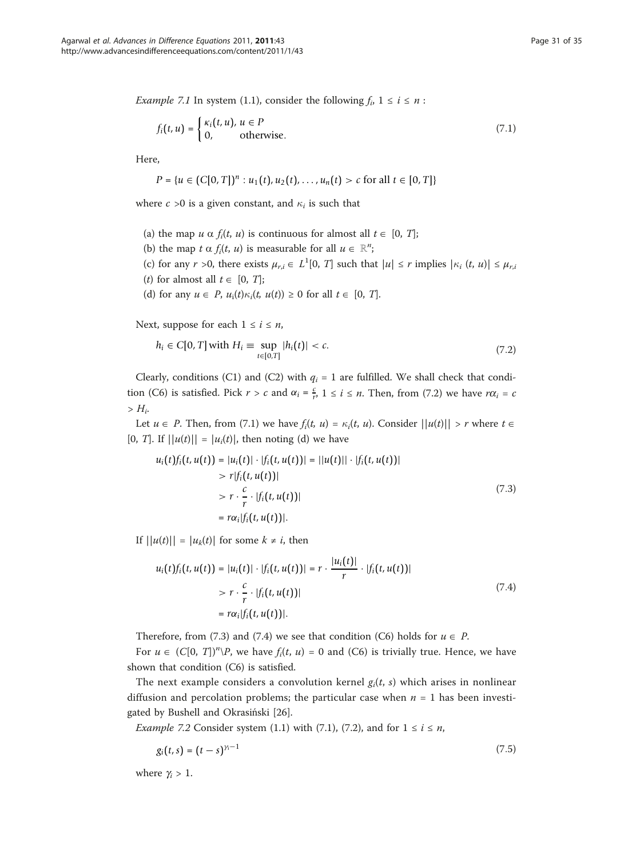*Example 7.1* In system (1.1), consider the following  $f_i$ ,  $1 \le i \le n$ :

$$
f_i(t, u) = \begin{cases} \kappa_i(t, u), u \in P \\ 0, \qquad \text{otherwise.} \end{cases}
$$
 (7.1)

Here,

$$
P = \{u \in (C[0, T])^n : u_1(t), u_2(t), \ldots, u_n(t) > c \text{ for all } t \in [0, T]\}
$$

where  $c > 0$  is a given constant, and  $\kappa_i$  is such that

- (a) the map  $u \alpha f_i(t, u)$  is continuous for almost all  $t \in [0, T]$ ;
- (b) the map  $t \alpha f_i(t, u)$  is measurable for all  $u \in \mathbb{R}^n$ ;
- (c) for any  $r > 0$ , there exists  $\mu_{r,i} \in L^1[0, T]$  such that  $|u| \le r$  implies  $|\kappa_i(t, u)| \le \mu_{r,i}$
- (*t*) for almost all  $t \in [0, T]$ ;
- (d) for any  $u \in P$ ,  $u_i(t)\kappa_i(t, u(t)) \ge 0$  for all  $t \in [0, T]$ .

Next, suppose for each  $1 \le i \le n$ ,

$$
h_i \in C[0, T] \text{ with } H_i \equiv \sup_{t \in [0, T]} |h_i(t)| < c. \tag{7.2}
$$

Clearly, conditions (C1) and (C2) with  $q_i = 1$  are fulfilled. We shall check that condition (C6) is satisfied. Pick  $r > c$  and  $\alpha_i = \frac{c}{r}$ ,  $1 \le i \le n$ . Then, from (7.2) we have  $r\alpha_i = c$  $> H_i$ .

Let  $u \in P$ . Then, from (7.1) we have  $f_i(t, u) = \kappa_i(t, u)$ . Consider  $||u(t)|| > r$  where  $t \in T$ . [0, T]. If  $||u(t)|| = |u_i(t)|$ , then noting (d) we have

$$
u_i(t)f_i(t, u(t)) = |u_i(t)| \cdot |f_i(t, u(t))| = ||u(t)|| \cdot |f_i(t, u(t))|
$$
  
>  $r |f_i(t, u(t))|$   
>  $r \cdot \frac{c}{r} \cdot |f_i(t, u(t))|$   
=  $r \alpha_i |f_i(t, u(t))|$ . (7.3)

If  $||u(t)|| = |u_k(t)|$  for some  $k \neq i$ , then

$$
u_i(t) f_i(t, u(t)) = |u_i(t)| \cdot |f_i(t, u(t))| = r \cdot \frac{|u_i(t)|}{r} \cdot |f_i(t, u(t))|
$$
  
>  $r \cdot \frac{c}{r} \cdot |f_i(t, u(t))|$   
=  $r \alpha_i |f_i(t, u(t))|$ . (7.4)

Therefore, from (7.3) and (7.4) we see that condition (C6) holds for  $u \in P$ .

For  $u \in (C[0, T])^n \backslash P$ , we have  $f_i(t, u) = 0$  and (C6) is trivially true. Hence, we have shown that condition (C6) is satisfied.

The next example considers a convolution kernel  $g_i(t, s)$  which arises in nonlinear diffusion and percolation problems; the particular case when  $n = 1$  has been investigated by Bushell and Okrasiński [[26](#page-34-0)].

*Example 7.2* Consider system (1.1) with (7.1), (7.2), and for  $1 \le i \le n$ ,

$$
g_i(t,s) = (t-s)^{\gamma_i - 1} \tag{7.5}
$$

where  $\gamma_i > 1$ .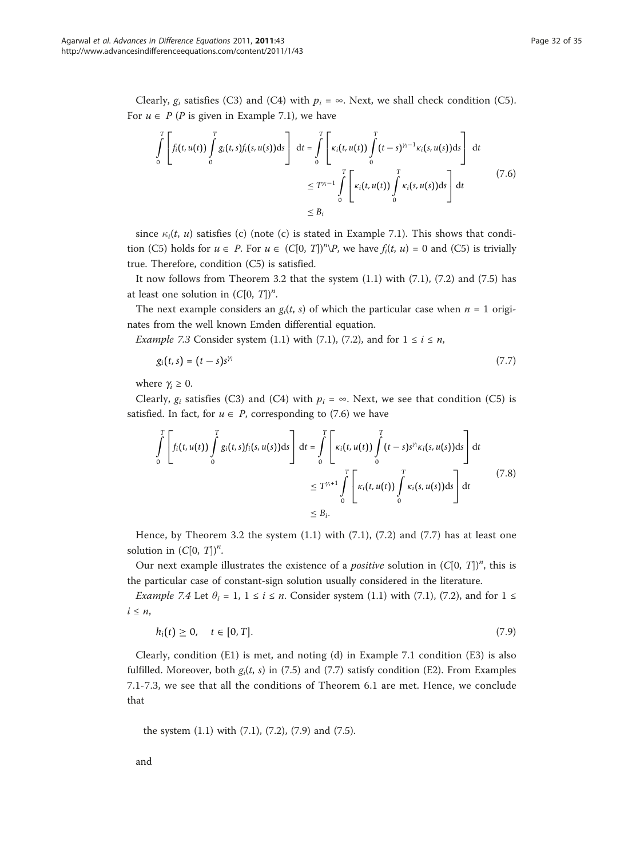Clearly,  $g_i$  satisfies (C3) and (C4) with  $p_i = \infty$ . Next, we shall check condition (C5). For  $u \in P$  (P is given in Example 7.1), we have

$$
\int_{0}^{T} \left[ f_i(t, u(t)) \int_{0}^{T} g_i(t, s) f_i(s, u(s)) ds \right] dt = \int_{0}^{T} \left[ \kappa_i(t, u(t)) \int_{0}^{T} (t - s)^{\gamma_i - 1} \kappa_i(s, u(s)) ds \right] dt
$$
\n
$$
\leq T^{\gamma_i - 1} \int_{0}^{T} \left[ \kappa_i(t, u(t)) \int_{0}^{T} \kappa_i(s, u(s)) ds \right] dt
$$
\n
$$
\leq B_i
$$
\n(7.6)

since  $\kappa_i(t, u)$  satisfies (c) (note (c) is stated in Example 7.1). This shows that condition (C5) holds for  $u \in P$ . For  $u \in (C[0, T])^n \backslash P$ , we have  $f_i(t, u) = 0$  and (C5) is trivially true. Therefore, condition (C5) is satisfied.

It now follows from Theorem 3.2 that the system  $(1.1)$  with  $(7.1)$ ,  $(7.2)$  and  $(7.5)$  has at least one solution in  $(C[0, T])^n$ .

The next example considers an  $g_i(t, s)$  of which the particular case when  $n = 1$  originates from the well known Emden differential equation.

*Example 7.3* Consider system (1.1) with (7.1), (7.2), and for  $1 \le i \le n$ ,

$$
g_i(t,s) = (t-s)s^{\gamma_i} \tag{7.7}
$$

where  $\gamma_i \geq 0$ .

Clearly,  $g_i$  satisfies (C3) and (C4) with  $p_i = \infty$ . Next, we see that condition (C5) is satisfied. In fact, for  $u \in P$ , corresponding to (7.6) we have

$$
\int_{0}^{T} \left[ f_i(t, u(t)) \int_{0}^{T} g_i(t, s) f_i(s, u(s)) \, ds \right] dt = \int_{0}^{T} \left[ \kappa_i(t, u(t)) \int_{0}^{T} (t - s) s^{\gamma_i} \kappa_i(s, u(s)) \, ds \right] dt
$$
\n
$$
\leq T^{\gamma_i + 1} \int_{0}^{T} \left[ \kappa_i(t, u(t)) \int_{0}^{T} \kappa_i(s, u(s)) \, ds \right] dt \tag{7.8}
$$
\n
$$
\leq B_i.
$$

Hence, by Theorem 3.2 the system (1.1) with (7.1), (7.2) and (7.7) has at least one solution in  $(C[0, T])^n$ .

Our next example illustrates the existence of a *positive* solution in  $(C[0, T])^n$ , this is the particular case of constant-sign solution usually considered in the literature.

*Example 7.4* Let  $\theta_i = 1$ ,  $1 \le i \le n$ . Consider system (1.1) with (7.1), (7.2), and for  $1 \le$  $i \leq n$ ,

$$
h_i(t) \geq 0, \quad t \in [0, T]. \tag{7.9}
$$

Clearly, condition (E1) is met, and noting (d) in Example 7.1 condition (E3) is also fulfilled. Moreover, both  $g_i(t, s)$  in (7.5) and (7.7) satisfy condition (E2). From Examples 7.1-7.3, we see that all the conditions of Theorem 6.1 are met. Hence, we conclude that

the system (1.1) with (7.1), (7.2), (7.9) and (7.5).

and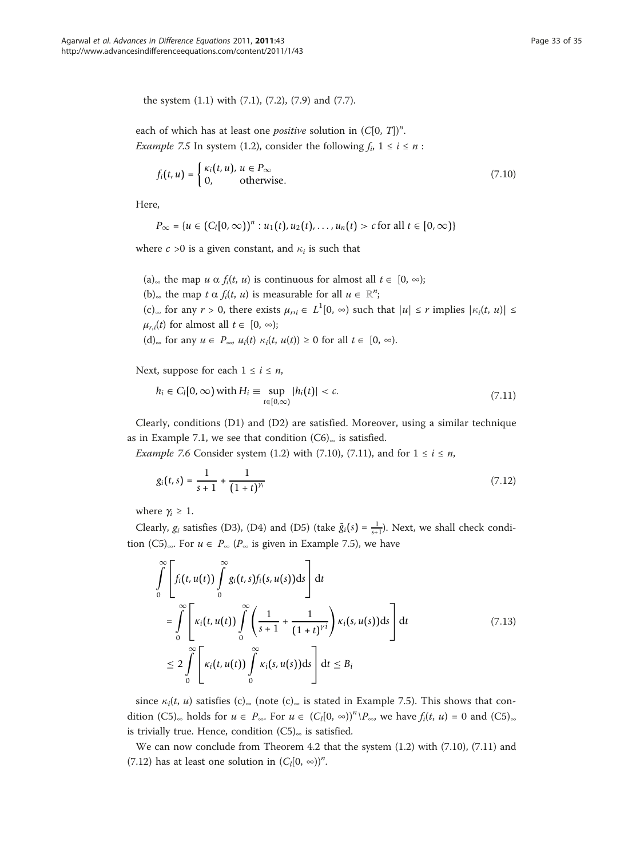the system (1.1) with (7.1), (7.2), (7.9) and (7.7).

each of which has at least one *positive* solution in  $(C[0, T])^n$ . *Example 7.5* In system (1.2), consider the following  $f_i$ ,  $1 \le i \le n$ :

$$
f_i(t, u) = \begin{cases} \kappa_i(t, u), u \in P_{\infty} \\ 0, \qquad \text{otherwise.} \end{cases}
$$
 (7.10)

Here,

$$
P_{\infty} = \{u \in (C_l[0,\infty))^n : u_1(t), u_2(t), \ldots, u_n(t) > c \text{ for all } t \in [0,\infty)\}\
$$

where  $c > 0$  is a given constant, and  $\kappa_i$  is such that

(a)<sub>∞</sub> the map *u*  $\alpha$  *f<sub>i</sub>*(*t*, *u*) is continuous for almost all *t* ∈ [0, ∞); (b)<sub>∞</sub> the map  $t \alpha f_i(t, u)$  is measurable for all  $u \in \mathbb{R}^n$ ;<br>(c) for any  $u \in \Omega$ , then exists  $u = L^{10}$  and  $v$  $(c)_{\infty}$  for any  $r > 0$ , there exists  $\mu_{ri} \in L^1[0, \infty)$  such that  $|u| \le r$  implies  $|\kappa_i(t, u)| \le$  $\mu_{r,i}(t)$  for almost all  $t \in [0, \infty);$ (d)<sub>∞</sub> for any  $u \in P_{\infty}$ ,  $u_i(t) \kappa_i(t, u(t)) \ge 0$  for all  $t \in [0, \infty)$ .

Next, suppose for each  $1 \le i \le n$ ,

$$
h_i \in C_l[0,\infty) \text{ with } H_i \equiv \sup_{t \in [0,\infty)} |h_i(t)| < c. \tag{7.11}
$$

Clearly, conditions (D1) and (D2) are satisfied. Moreover, using a similar technique as in Example 7.1, we see that condition  $(C6)_{\infty}$  is satisfied.

*Example 7.6* Consider system (1.2) with (7.10), (7.11), and for  $1 \le i \le n$ ,

$$
g_i(t,s) = \frac{1}{s+1} + \frac{1}{(1+t)^{\gamma_i}}
$$
\n(7.12)

where  $\gamma_i \geq 1$ .

Clearly,  $g_i$  satisfies (D3), (D4) and (D5) (take  $\tilde{g}_i(s) = \frac{1}{s+1}$ ). Next, we shall check condition (C5)∞. For  $u \in P_{\infty}$  ( $P_{\infty}$  is given in Example 7.5), we have

$$
\int_{0}^{\infty} \left[ f_i(t, u(t)) \int_{0}^{\infty} g_i(t, s) f_i(s, u(s)) ds \right] dt
$$
\n
$$
= \int_{0}^{\infty} \left[ \kappa_i(t, u(t)) \int_{0}^{\infty} \left( \frac{1}{s+1} + \frac{1}{(1+t)^{\gamma i}} \right) \kappa_i(s, u(s)) ds \right] dt \tag{7.13}
$$
\n
$$
\leq 2 \int_{0}^{\infty} \left[ \kappa_i(t, u(t)) \int_{0}^{\infty} \kappa_i(s, u(s)) ds \right] dt \leq B_i
$$

since  $\kappa_i(t, u)$  satisfies (c)<sub>∞</sub> (note (c)<sub>∞</sub> is stated in Example 7.5). This shows that condition  $(C5)_{\infty}$  holds for  $u \in P_{\infty}$ . For  $u \in (C_i[0, \infty))^n \setminus P_{\infty}$ , we have  $f_i(t, u) = 0$  and  $(C5)_{\infty}$ is trivially true. Hence, condition  $(C5)_{\infty}$  is satisfied.

We can now conclude from Theorem 4.2 that the system (1.2) with (7.10), (7.11) and (7.12) has at least one solution in  $(C_l[0, \infty))^n$ .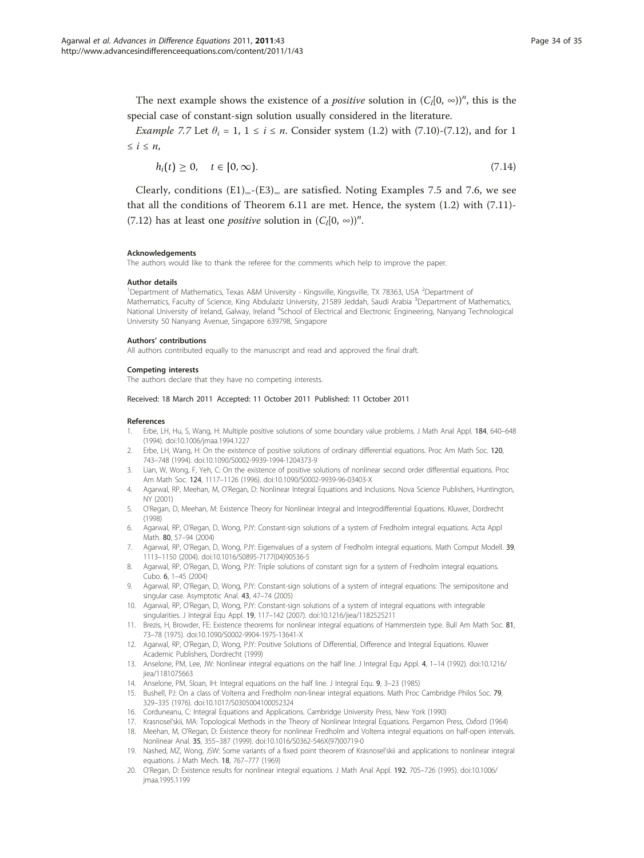<span id="page-33-0"></span>The next example shows the existence of a *positive* solution in  $(C_l[0, \infty))^n$ , this is the special case of constant-sign solution usually considered in the literature.

*Example 7.7* Let  $\theta_i = 1$ ,  $1 \le i \le n$ . Consider system (1.2) with (7.10)-(7.12), and for 1  $\leq i \leq n$ ,

$$
h_i(t) \geq 0, \quad t \in [0, \infty). \tag{7.14}
$$

Clearly, conditions  $(E1)_{\infty}$ - $(E3)_{\infty}$  are satisfied. Noting Examples 7.5 and 7.6, we see that all the conditions of Theorem 6.11 are met. Hence, the system (1.2) with (7.11)- (7.12) has at least one *positive* solution in  $(C_l[0, \infty))^n$ .

#### Acknowledgements

The authors would like to thank the referee for the comments which help to improve the paper.

#### Author details

<sup>1</sup>Department of Mathematics, Texas A&M University - Kingsville, Kingsville, TX 78363, USA <sup>2</sup>Department of Mathematics, Faculty of Science, King Abdulaziz University, 21589 Jeddah, Saudi Arabia <sup>3</sup>Department of Mathematics, National University of Ireland, Galway, Ireland <sup>4</sup>School of Electrical and Electronic Engineering, Nanyang Technological University 50 Nanyang Avenue, Singapore 639798, Singapore

#### Authors' contributions

All authors contributed equally to the manuscript and read and approved the final draft.

#### Competing interests

The authors declare that they have no competing interests.

#### Received: 18 March 2011 Accepted: 11 October 2011 Published: 11 October 2011

#### References

- 1. Erbe, LH, Hu, S, Wang, H: Multiple positive solutions of some boundary value problems. J Math Anal Appl. 184, 640–648 (1994). doi:10.1006/jmaa.1994.1227
- Erbe, LH, Wang, H: On the existence of positive solutions of ordinary differential equations. Proc Am Math Soc. 120, 743–748 (1994). doi:10.1090/S0002-9939-1994-1204373-9
- 3. Lian, W, Wong, F, Yeh, C: On the existence of positive solutions of nonlinear second order differential equations. Proc Am Math Soc. 124, 1117–1126 (1996). doi:10.1090/S0002-9939-96-03403-X
- 4. Agarwal, RP, Meehan, M, O'Regan, D: Nonlinear Integral Equations and Inclusions. Nova Science Publishers, Huntington, NY (2001)
- 5. O'Regan, D, Meehan, M: Existence Theory for Nonlinear Integral and Integrodifferential Equations. Kluwer, Dordrecht (1998)
- 6. Agarwal, RP, O'Regan, D, Wong, PJY: Constant-sign solutions of a system of Fredholm integral equations. Acta Appl Math. 80, 57–94 (2004)
- 7. Agarwal, RP, O'Regan, D, Wong, PJY: Eigenvalues of a system of Fredholm integral equations. Math Comput Modell. 39, 1113–1150 (2004). doi:10.1016/S0895-7177(04)90536-5
- 8. Agarwal, RP, O'Regan, D, Wong, PJY: Triple solutions of constant sign for a system of Fredholm integral equations. Cubo. 6, 1–45 (2004)
- 9. Agarwal, RP, O'Regan, D, Wong, PJY: Constant-sign solutions of a system of integral equations: The semipositone and singular case. Asymptotic Anal. 43, 47–74 (2005)
- 10. Agarwal, RP, O'Regan, D, Wong, PJY: Constant-sign solutions of a system of integral equations with integrable singularities. J Integral Equ Appl. 19, 117–142 (2007). doi:10.1216/jiea/1182525211
- 11. Brezis, H, Browder, FE: Existence theorems for nonlinear integral equations of Hammerstein type. Bull Am Math Soc. 81, 73–78 (1975). doi:10.1090/S0002-9904-1975-13641-X
- 12. Agarwal, RP, O'Regan, D, Wong, PJY: Positive Solutions of Differential, Difference and Integral Equations. Kluwer Academic Publishers, Dordrecht (1999)
- 13. Anselone, PM, Lee, JW: Nonlinear integral equations on the half line. J Integral Equ Appl. 4, 1–14 (1992). doi:10.1216/ jiea/1181075663
- 14. Anselone, PM, Sloan, IH: Integral equations on the half line. J Integral Equ. 9, 3–23 (1985)
- 15. Bushell, PJ: On a class of Volterra and Fredholm non-linear integral equations. Math Proc Cambridge Philos Soc. 79, 329–335 (1976). doi:10.1017/S0305004100052324
- 16. Corduneanu, C: Integral Equations and Applications. Cambridge University Press, New York (1990)
- 17. Krasnosel'skii, MA: Topological Methods in the Theory of Nonlinear Integral Equations. Pergamon Press, Oxford (1964)
- 18. Meehan, M, O'Regan, D: Existence theory for nonlinear Fredholm and Volterra integral equations on half-open intervals. Nonlinear Anal. 35, 355–387 (1999). doi:10.1016/S0362-546X(97)00719-0
- 19. Nashed, MZ, Wong, JSW: Some variants of a fixed point theorem of Krasnosel'skii and applications to nonlinear integral equations. J Math Mech. 18, 767–777 (1969)
- 20. O'Regan, D: Existence results for nonlinear integral equations. J Math Anal Appl. 192, 705–726 (1995). doi:10.1006/ jmaa.1995.1199